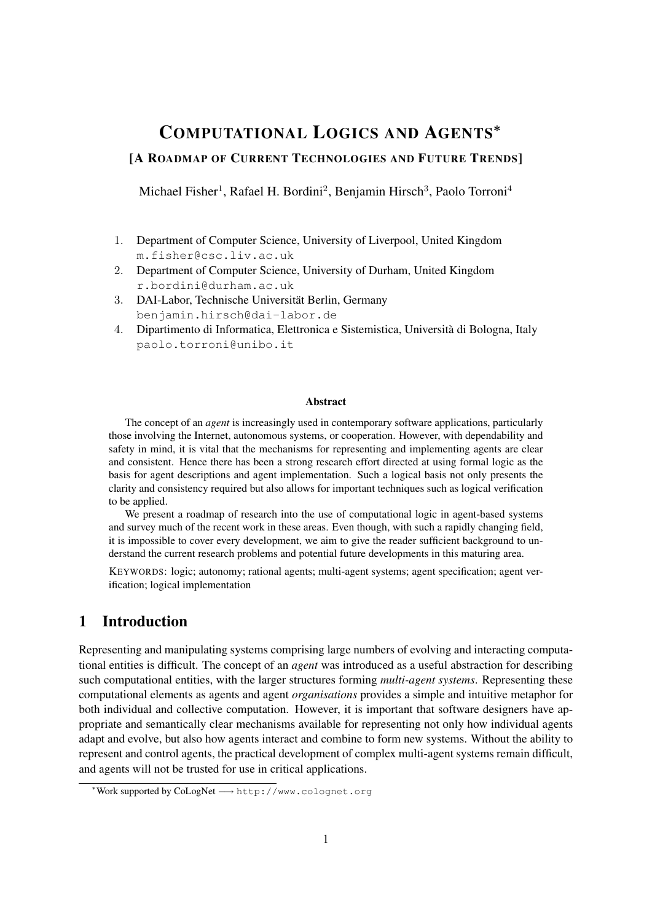# COMPUTATIONAL LOGICS AND AGENTS<sup>\*</sup> [A ROADMAP OF CURRENT TECHNOLOGIES AND FUTURE TRENDS]

Michael Fisher<sup>1</sup>, Rafael H. Bordini<sup>2</sup>, Benjamin Hirsch<sup>3</sup>, Paolo Torroni<sup>4</sup>

- 1. Department of Computer Science, University of Liverpool, United Kingdom m.fisher@csc.liv.ac.uk
- 2. Department of Computer Science, University of Durham, United Kingdom r.bordini@durham.ac.uk
- 3. DAI-Labor, Technische Universität Berlin, Germany benjamin.hirsch@dai-labor.de
- 4. Dipartimento di Informatica, Elettronica e Sistemistica, Universita di Bologna, Italy ` paolo.torroni@unibo.it

#### Abstract

The concept of an *agent* is increasingly used in contemporary software applications, particularly those involving the Internet, autonomous systems, or cooperation. However, with dependability and safety in mind, it is vital that the mechanisms for representing and implementing agents are clear and consistent. Hence there has been a strong research effort directed at using formal logic as the basis for agent descriptions and agent implementation. Such a logical basis not only presents the clarity and consistency required but also allows for important techniques such as logical verification to be applied.

We present a roadmap of research into the use of computational logic in agent-based systems and survey much of the recent work in these areas. Even though, with such a rapidly changing field, it is impossible to cover every development, we aim to give the reader sufficient background to understand the current research problems and potential future developments in this maturing area.

KEYWORDS: logic; autonomy; rational agents; multi-agent systems; agent specification; agent verification; logical implementation

# 1 Introduction

Representing and manipulating systems comprising large numbers of evolving and interacting computational entities is difficult. The concept of an *agent* was introduced as a useful abstraction for describing such computational entities, with the larger structures forming *multi-agent systems*. Representing these computational elements as agents and agent *organisations* provides a simple and intuitive metaphor for both individual and collective computation. However, it is important that software designers have appropriate and semantically clear mechanisms available for representing not only how individual agents adapt and evolve, but also how agents interact and combine to form new systems. Without the ability to represent and control agents, the practical development of complex multi-agent systems remain difficult, and agents will not be trusted for use in critical applications.

<sup>∗</sup>Work supported by CoLogNet −→ http://www.colognet.org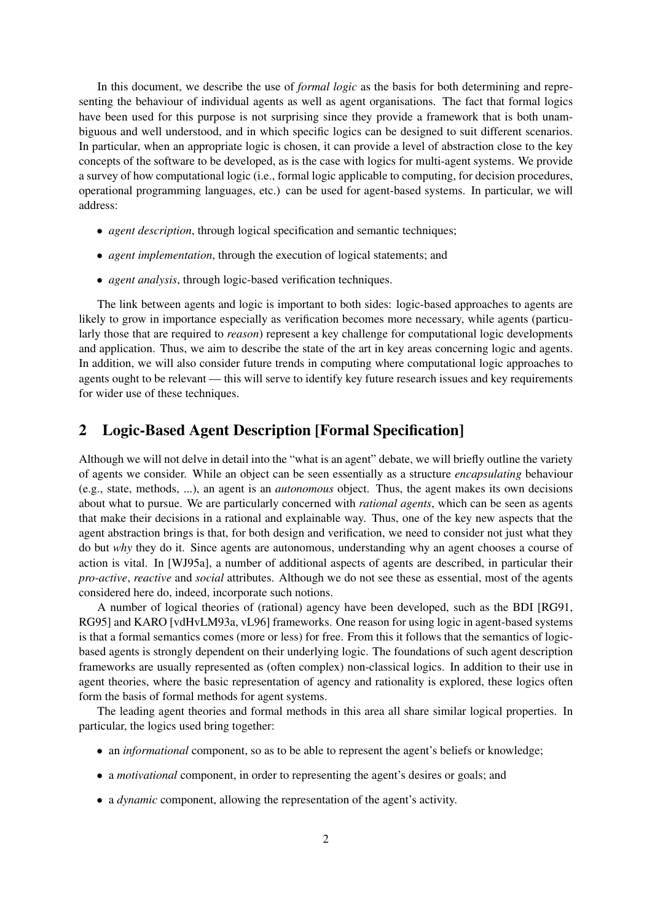In this document, we describe the use of *formal logic* as the basis for both determining and representing the behaviour of individual agents as well as agent organisations. The fact that formal logics have been used for this purpose is not surprising since they provide a framework that is both unambiguous and well understood, and in which specific logics can be designed to suit different scenarios. In particular, when an appropriate logic is chosen, it can provide a level of abstraction close to the key concepts of the software to be developed, as is the case with logics for multi-agent systems. We provide a survey of how computational logic (i.e., formal logic applicable to computing, for decision procedures, operational programming languages, etc.) can be used for agent-based systems. In particular, we will address:

- *agent description*, through logical specification and semantic techniques;
- *agent implementation*, through the execution of logical statements; and
- *agent analysis*, through logic-based verification techniques.

The link between agents and logic is important to both sides: logic-based approaches to agents are likely to grow in importance especially as verification becomes more necessary, while agents (particularly those that are required to *reason*) represent a key challenge for computational logic developments and application. Thus, we aim to describe the state of the art in key areas concerning logic and agents. In addition, we will also consider future trends in computing where computational logic approaches to agents ought to be relevant — this will serve to identify key future research issues and key requirements for wider use of these techniques.

# 2 Logic-Based Agent Description [Formal Specification]

Although we will not delve in detail into the "what is an agent" debate, we will briefly outline the variety of agents we consider. While an object can be seen essentially as a structure *encapsulating* behaviour (e.g., state, methods, ...), an agent is an *autonomous* object. Thus, the agent makes its own decisions about what to pursue. We are particularly concerned with *rational agents*, which can be seen as agents that make their decisions in a rational and explainable way. Thus, one of the key new aspects that the agent abstraction brings is that, for both design and verification, we need to consider not just what they do but *why* they do it. Since agents are autonomous, understanding why an agent chooses a course of action is vital. In [WJ95a], a number of additional aspects of agents are described, in particular their *pro-active*, *reactive* and *social* attributes. Although we do not see these as essential, most of the agents considered here do, indeed, incorporate such notions.

A number of logical theories of (rational) agency have been developed, such as the BDI [RG91, RG95] and KARO [vdHvLM93a, vL96] frameworks. One reason for using logic in agent-based systems is that a formal semantics comes (more or less) for free. From this it follows that the semantics of logicbased agents is strongly dependent on their underlying logic. The foundations of such agent description frameworks are usually represented as (often complex) non-classical logics. In addition to their use in agent theories, where the basic representation of agency and rationality is explored, these logics often form the basis of formal methods for agent systems.

The leading agent theories and formal methods in this area all share similar logical properties. In particular, the logics used bring together:

- an *informational* component, so as to be able to represent the agent's beliefs or knowledge;
- a *motivational* component, in order to representing the agent's desires or goals; and
- a *dynamic* component, allowing the representation of the agent's activity.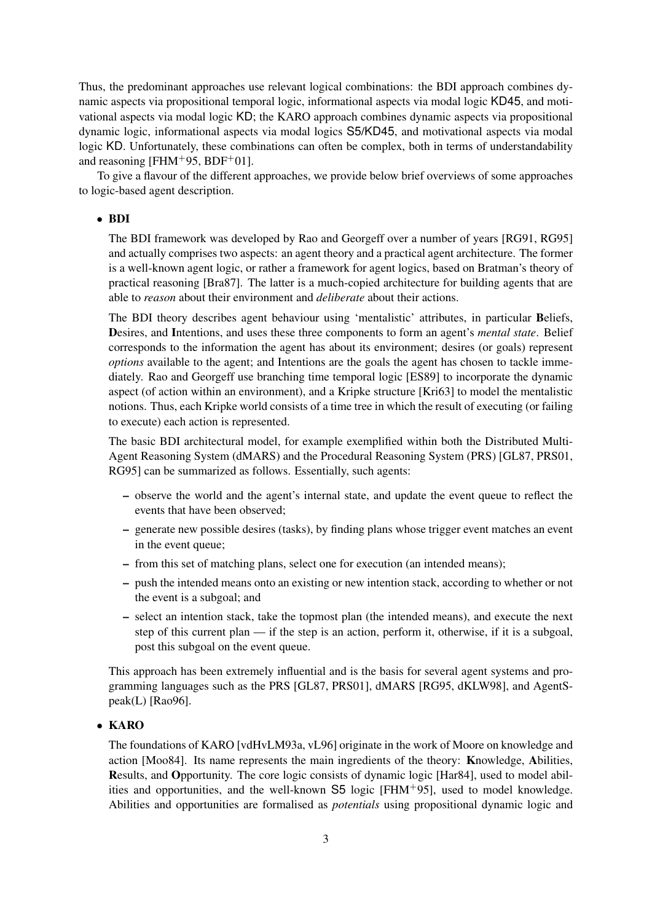Thus, the predominant approaches use relevant logical combinations: the BDI approach combines dynamic aspects via propositional temporal logic, informational aspects via modal logic KD45, and motivational aspects via modal logic KD; the KARO approach combines dynamic aspects via propositional dynamic logic, informational aspects via modal logics S5/KD45, and motivational aspects via modal logic KD. Unfortunately, these combinations can often be complex, both in terms of understandability and reasoning [FHM<sup>+</sup>95, BDF<sup>+</sup>01].

To give a flavour of the different approaches, we provide below brief overviews of some approaches to logic-based agent description.

#### • BDI

The BDI framework was developed by Rao and Georgeff over a number of years [RG91, RG95] and actually comprises two aspects: an agent theory and a practical agent architecture. The former is a well-known agent logic, or rather a framework for agent logics, based on Bratman's theory of practical reasoning [Bra87]. The latter is a much-copied architecture for building agents that are able to *reason* about their environment and *deliberate* about their actions.

The BDI theory describes agent behaviour using 'mentalistic' attributes, in particular Beliefs, Desires, and Intentions, and uses these three components to form an agent's *mental state*. Belief corresponds to the information the agent has about its environment; desires (or goals) represent *options* available to the agent; and Intentions are the goals the agent has chosen to tackle immediately. Rao and Georgeff use branching time temporal logic [ES89] to incorporate the dynamic aspect (of action within an environment), and a Kripke structure [Kri63] to model the mentalistic notions. Thus, each Kripke world consists of a time tree in which the result of executing (or failing to execute) each action is represented.

The basic BDI architectural model, for example exemplified within both the Distributed Multi-Agent Reasoning System (dMARS) and the Procedural Reasoning System (PRS) [GL87, PRS01, RG95] can be summarized as follows. Essentially, such agents:

- observe the world and the agent's internal state, and update the event queue to reflect the events that have been observed;
- generate new possible desires (tasks), by finding plans whose trigger event matches an event in the event queue;
- from this set of matching plans, select one for execution (an intended means);
- push the intended means onto an existing or new intention stack, according to whether or not the event is a subgoal; and
- select an intention stack, take the topmost plan (the intended means), and execute the next step of this current plan — if the step is an action, perform it, otherwise, if it is a subgoal, post this subgoal on the event queue.

This approach has been extremely influential and is the basis for several agent systems and programming languages such as the PRS [GL87, PRS01], dMARS [RG95, dKLW98], and AgentSpeak(L) [Rao96].

#### • KARO

The foundations of KARO [vdHvLM93a, vL96] originate in the work of Moore on knowledge and action [Moo84]. Its name represents the main ingredients of the theory: Knowledge, Abilities, Results, and Opportunity. The core logic consists of dynamic logic [Har84], used to model abilities and opportunities, and the well-known S5 logic [FHM+95], used to model knowledge. Abilities and opportunities are formalised as *potentials* using propositional dynamic logic and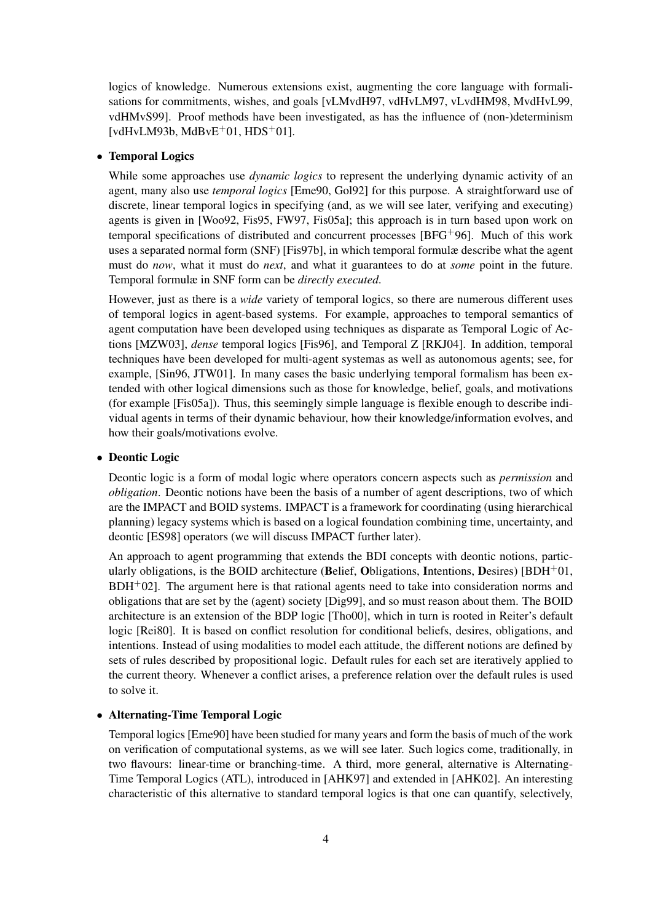logics of knowledge. Numerous extensions exist, augmenting the core language with formalisations for commitments, wishes, and goals [vLMvdH97, vdHvLM97, vLvdHM98, MvdHvL99, vdHMvS99]. Proof methods have been investigated, as has the influence of (non-)determinism [vdHvLM93b, MdBv $E^+$ 01, HDS<sup>+</sup>01].

#### • Temporal Logics

While some approaches use *dynamic logics* to represent the underlying dynamic activity of an agent, many also use *temporal logics* [Eme90, Gol92] for this purpose. A straightforward use of discrete, linear temporal logics in specifying (and, as we will see later, verifying and executing) agents is given in [Woo92, Fis95, FW97, Fis05a]; this approach is in turn based upon work on temporal specifications of distributed and concurrent processes [BFG+96]. Much of this work uses a separated normal form (SNF) [Fis97b], in which temporal formulæ describe what the agent must do *now*, what it must do *next*, and what it guarantees to do at *some* point in the future. Temporal formulæ in SNF form can be *directly executed*.

However, just as there is a *wide* variety of temporal logics, so there are numerous different uses of temporal logics in agent-based systems. For example, approaches to temporal semantics of agent computation have been developed using techniques as disparate as Temporal Logic of Actions [MZW03], *dense* temporal logics [Fis96], and Temporal Z [RKJ04]. In addition, temporal techniques have been developed for multi-agent systemas as well as autonomous agents; see, for example, [Sin96, JTW01]. In many cases the basic underlying temporal formalism has been extended with other logical dimensions such as those for knowledge, belief, goals, and motivations (for example [Fis05a]). Thus, this seemingly simple language is flexible enough to describe individual agents in terms of their dynamic behaviour, how their knowledge/information evolves, and how their goals/motivations evolve.

#### • Deontic Logic

Deontic logic is a form of modal logic where operators concern aspects such as *permission* and *obligation*. Deontic notions have been the basis of a number of agent descriptions, two of which are the IMPACT and BOID systems. IMPACT is a framework for coordinating (using hierarchical planning) legacy systems which is based on a logical foundation combining time, uncertainty, and deontic [ES98] operators (we will discuss IMPACT further later).

An approach to agent programming that extends the BDI concepts with deontic notions, particularly obligations, is the BOID architecture (Belief, Obligations, Intentions, Desires)  $[BDH^+01,$  $BDH<sup>+</sup>02$ ]. The argument here is that rational agents need to take into consideration norms and obligations that are set by the (agent) society [Dig99], and so must reason about them. The BOID architecture is an extension of the BDP logic [Tho00], which in turn is rooted in Reiter's default logic [Rei80]. It is based on conflict resolution for conditional beliefs, desires, obligations, and intentions. Instead of using modalities to model each attitude, the different notions are defined by sets of rules described by propositional logic. Default rules for each set are iteratively applied to the current theory. Whenever a conflict arises, a preference relation over the default rules is used to solve it.

#### • Alternating-Time Temporal Logic

Temporal logics [Eme90] have been studied for many years and form the basis of much of the work on verification of computational systems, as we will see later. Such logics come, traditionally, in two flavours: linear-time or branching-time. A third, more general, alternative is Alternating-Time Temporal Logics (ATL), introduced in [AHK97] and extended in [AHK02]. An interesting characteristic of this alternative to standard temporal logics is that one can quantify, selectively,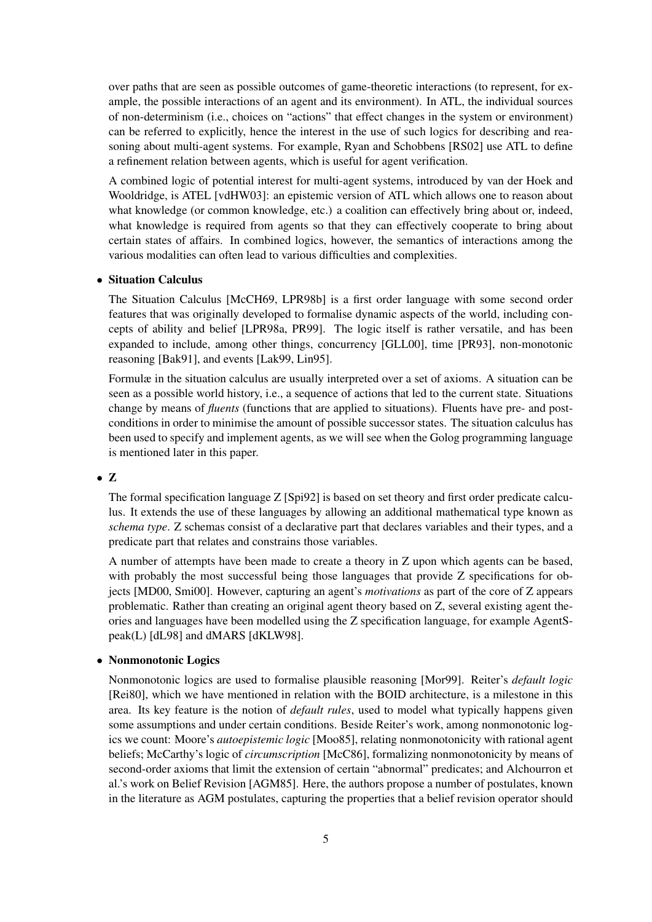over paths that are seen as possible outcomes of game-theoretic interactions (to represent, for example, the possible interactions of an agent and its environment). In ATL, the individual sources of non-determinism (i.e., choices on "actions" that effect changes in the system or environment) can be referred to explicitly, hence the interest in the use of such logics for describing and reasoning about multi-agent systems. For example, Ryan and Schobbens [RS02] use ATL to define a refinement relation between agents, which is useful for agent verification.

A combined logic of potential interest for multi-agent systems, introduced by van der Hoek and Wooldridge, is ATEL [vdHW03]: an epistemic version of ATL which allows one to reason about what knowledge (or common knowledge, etc.) a coalition can effectively bring about or, indeed, what knowledge is required from agents so that they can effectively cooperate to bring about certain states of affairs. In combined logics, however, the semantics of interactions among the various modalities can often lead to various difficulties and complexities.

#### • Situation Calculus

The Situation Calculus [McCH69, LPR98b] is a first order language with some second order features that was originally developed to formalise dynamic aspects of the world, including concepts of ability and belief [LPR98a, PR99]. The logic itself is rather versatile, and has been expanded to include, among other things, concurrency [GLL00], time [PR93], non-monotonic reasoning [Bak91], and events [Lak99, Lin95].

Formulæ in the situation calculus are usually interpreted over a set of axioms. A situation can be seen as a possible world history, i.e., a sequence of actions that led to the current state. Situations change by means of *fluents* (functions that are applied to situations). Fluents have pre- and postconditions in order to minimise the amount of possible successor states. The situation calculus has been used to specify and implement agents, as we will see when the Golog programming language is mentioned later in this paper.

#### • Z

The formal specification language Z [Spi92] is based on set theory and first order predicate calculus. It extends the use of these languages by allowing an additional mathematical type known as *schema type*. Z schemas consist of a declarative part that declares variables and their types, and a predicate part that relates and constrains those variables.

A number of attempts have been made to create a theory in Z upon which agents can be based, with probably the most successful being those languages that provide Z specifications for objects [MD00, Smi00]. However, capturing an agent's *motivations* as part of the core of Z appears problematic. Rather than creating an original agent theory based on Z, several existing agent theories and languages have been modelled using the Z specification language, for example AgentSpeak(L) [dL98] and dMARS [dKLW98].

#### • Nonmonotonic Logics

Nonmonotonic logics are used to formalise plausible reasoning [Mor99]. Reiter's *default logic* [Rei80], which we have mentioned in relation with the BOID architecture, is a milestone in this area. Its key feature is the notion of *default rules*, used to model what typically happens given some assumptions and under certain conditions. Beside Reiter's work, among nonmonotonic logics we count: Moore's *autoepistemic logic* [Moo85], relating nonmonotonicity with rational agent beliefs; McCarthy's logic of *circumscription* [McC86], formalizing nonmonotonicity by means of second-order axioms that limit the extension of certain "abnormal" predicates; and Alchourron et al.'s work on Belief Revision [AGM85]. Here, the authors propose a number of postulates, known in the literature as AGM postulates, capturing the properties that a belief revision operator should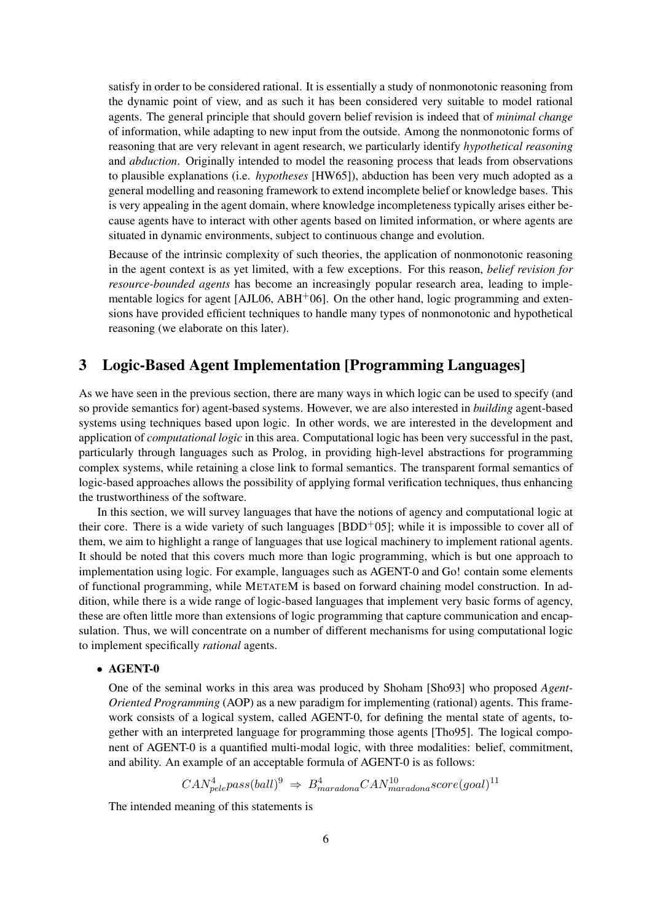satisfy in order to be considered rational. It is essentially a study of nonmonotonic reasoning from the dynamic point of view, and as such it has been considered very suitable to model rational agents. The general principle that should govern belief revision is indeed that of *minimal change* of information, while adapting to new input from the outside. Among the nonmonotonic forms of reasoning that are very relevant in agent research, we particularly identify *hypothetical reasoning* and *abduction*. Originally intended to model the reasoning process that leads from observations to plausible explanations (i.e. *hypotheses* [HW65]), abduction has been very much adopted as a general modelling and reasoning framework to extend incomplete belief or knowledge bases. This is very appealing in the agent domain, where knowledge incompleteness typically arises either because agents have to interact with other agents based on limited information, or where agents are situated in dynamic environments, subject to continuous change and evolution.

Because of the intrinsic complexity of such theories, the application of nonmonotonic reasoning in the agent context is as yet limited, with a few exceptions. For this reason, *belief revision for resource-bounded agents* has become an increasingly popular research area, leading to implementable logics for agent [AJL06, ABH<sup>+</sup>06]. On the other hand, logic programming and extensions have provided efficient techniques to handle many types of nonmonotonic and hypothetical reasoning (we elaborate on this later).

# 3 Logic-Based Agent Implementation [Programming Languages]

As we have seen in the previous section, there are many ways in which logic can be used to specify (and so provide semantics for) agent-based systems. However, we are also interested in *building* agent-based systems using techniques based upon logic. In other words, we are interested in the development and application of *computational logic* in this area. Computational logic has been very successful in the past, particularly through languages such as Prolog, in providing high-level abstractions for programming complex systems, while retaining a close link to formal semantics. The transparent formal semantics of logic-based approaches allows the possibility of applying formal verification techniques, thus enhancing the trustworthiness of the software.

In this section, we will survey languages that have the notions of agency and computational logic at their core. There is a wide variety of such languages  $[BDD<sup>+</sup>05]$ ; while it is impossible to cover all of them, we aim to highlight a range of languages that use logical machinery to implement rational agents. It should be noted that this covers much more than logic programming, which is but one approach to implementation using logic. For example, languages such as AGENT-0 and Go! contain some elements of functional programming, while METATEM is based on forward chaining model construction. In addition, while there is a wide range of logic-based languages that implement very basic forms of agency, these are often little more than extensions of logic programming that capture communication and encapsulation. Thus, we will concentrate on a number of different mechanisms for using computational logic to implement specifically *rational* agents.

#### • AGENT-0

One of the seminal works in this area was produced by Shoham [Sho93] who proposed *Agent-Oriented Programming* (AOP) as a new paradigm for implementing (rational) agents. This framework consists of a logical system, called AGENT-0, for defining the mental state of agents, together with an interpreted language for programming those agents [Tho95]. The logical component of AGENT-0 is a quantified multi-modal logic, with three modalities: belief, commitment, and ability. An example of an acceptable formula of AGENT-0 is as follows:

$$
CAN^{4}_{pele}pass(ball)^{9} \Rightarrow B^{4}_{maradona} CAN^{10}_{maradona} score(goal)^{11}
$$

The intended meaning of this statements is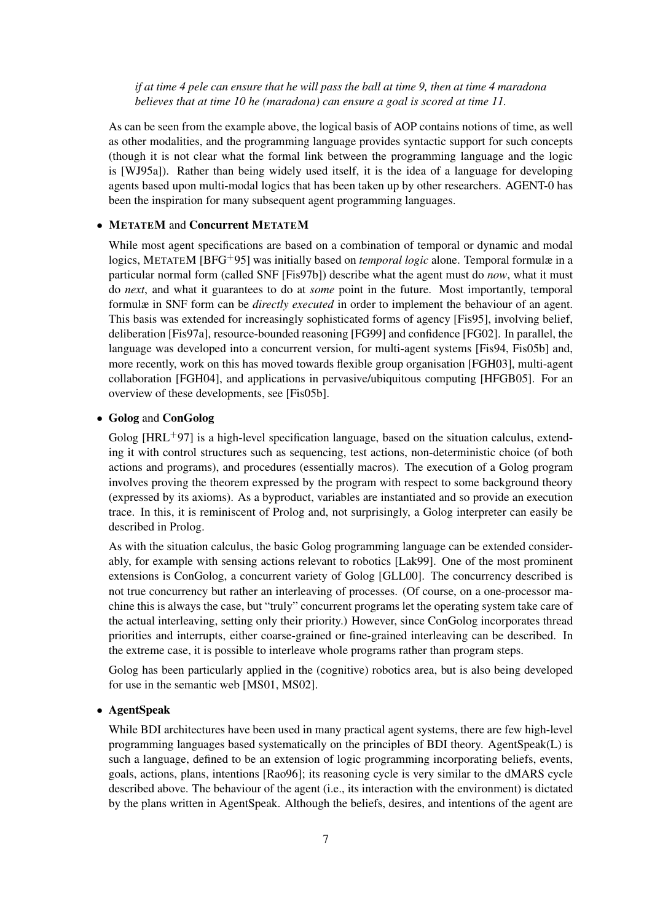*if at time 4 pele can ensure that he will pass the ball at time 9, then at time 4 maradona believes that at time 10 he (maradona) can ensure a goal is scored at time 11.*

As can be seen from the example above, the logical basis of AOP contains notions of time, as well as other modalities, and the programming language provides syntactic support for such concepts (though it is not clear what the formal link between the programming language and the logic is [WJ95a]). Rather than being widely used itself, it is the idea of a language for developing agents based upon multi-modal logics that has been taken up by other researchers. AGENT-0 has been the inspiration for many subsequent agent programming languages.

#### • METATEM and Concurrent METATEM

While most agent specifications are based on a combination of temporal or dynamic and modal logics, METATEM [BFG+95] was initially based on *temporal logic* alone. Temporal formulæ in a particular normal form (called SNF [Fis97b]) describe what the agent must do *now*, what it must do *next*, and what it guarantees to do at *some* point in the future. Most importantly, temporal formulæ in SNF form can be *directly executed* in order to implement the behaviour of an agent. This basis was extended for increasingly sophisticated forms of agency [Fis95], involving belief, deliberation [Fis97a], resource-bounded reasoning [FG99] and confidence [FG02]. In parallel, the language was developed into a concurrent version, for multi-agent systems [Fis94, Fis05b] and, more recently, work on this has moved towards flexible group organisation [FGH03], multi-agent collaboration [FGH04], and applications in pervasive/ubiquitous computing [HFGB05]. For an overview of these developments, see [Fis05b].

#### • Golog and ConGolog

Golog  $[HRL+97]$  is a high-level specification language, based on the situation calculus, extending it with control structures such as sequencing, test actions, non-deterministic choice (of both actions and programs), and procedures (essentially macros). The execution of a Golog program involves proving the theorem expressed by the program with respect to some background theory (expressed by its axioms). As a byproduct, variables are instantiated and so provide an execution trace. In this, it is reminiscent of Prolog and, not surprisingly, a Golog interpreter can easily be described in Prolog.

As with the situation calculus, the basic Golog programming language can be extended considerably, for example with sensing actions relevant to robotics [Lak99]. One of the most prominent extensions is ConGolog, a concurrent variety of Golog [GLL00]. The concurrency described is not true concurrency but rather an interleaving of processes. (Of course, on a one-processor machine this is always the case, but "truly" concurrent programs let the operating system take care of the actual interleaving, setting only their priority.) However, since ConGolog incorporates thread priorities and interrupts, either coarse-grained or fine-grained interleaving can be described. In the extreme case, it is possible to interleave whole programs rather than program steps.

Golog has been particularly applied in the (cognitive) robotics area, but is also being developed for use in the semantic web [MS01, MS02].

#### • AgentSpeak

While BDI architectures have been used in many practical agent systems, there are few high-level programming languages based systematically on the principles of BDI theory. AgentSpeak(L) is such a language, defined to be an extension of logic programming incorporating beliefs, events, goals, actions, plans, intentions [Rao96]; its reasoning cycle is very similar to the dMARS cycle described above. The behaviour of the agent (i.e., its interaction with the environment) is dictated by the plans written in AgentSpeak. Although the beliefs, desires, and intentions of the agent are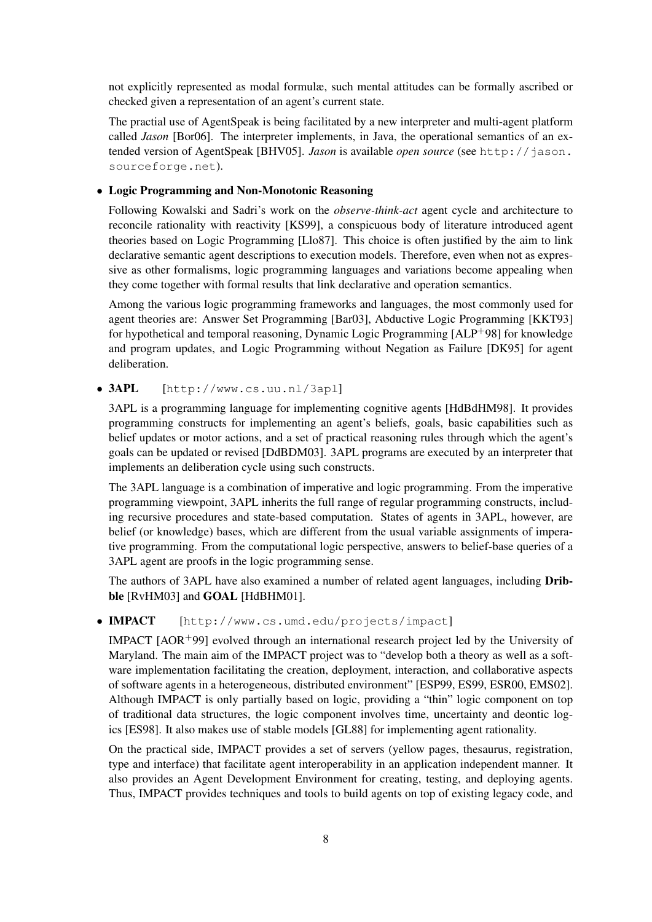not explicitly represented as modal formulæ, such mental attitudes can be formally ascribed or checked given a representation of an agent's current state.

The practial use of AgentSpeak is being facilitated by a new interpreter and multi-agent platform called *Jason* [Bor06]. The interpreter implements, in Java, the operational semantics of an extended version of AgentSpeak [BHV05]. *Jason* is available *open source* (see http://jason. sourceforge.net).

#### • Logic Programming and Non-Monotonic Reasoning

Following Kowalski and Sadri's work on the *observe-think-act* agent cycle and architecture to reconcile rationality with reactivity [KS99], a conspicuous body of literature introduced agent theories based on Logic Programming [Llo87]. This choice is often justified by the aim to link declarative semantic agent descriptions to execution models. Therefore, even when not as expressive as other formalisms, logic programming languages and variations become appealing when they come together with formal results that link declarative and operation semantics.

Among the various logic programming frameworks and languages, the most commonly used for agent theories are: Answer Set Programming [Bar03], Abductive Logic Programming [KKT93] for hypothetical and temporal reasoning, Dynamic Logic Programming [ALP+98] for knowledge and program updates, and Logic Programming without Negation as Failure [DK95] for agent deliberation.

### • **3APL** [http://www.cs.uu.nl/3apl]

3APL is a programming language for implementing cognitive agents [HdBdHM98]. It provides programming constructs for implementing an agent's beliefs, goals, basic capabilities such as belief updates or motor actions, and a set of practical reasoning rules through which the agent's goals can be updated or revised [DdBDM03]. 3APL programs are executed by an interpreter that implements an deliberation cycle using such constructs.

The 3APL language is a combination of imperative and logic programming. From the imperative programming viewpoint, 3APL inherits the full range of regular programming constructs, including recursive procedures and state-based computation. States of agents in 3APL, however, are belief (or knowledge) bases, which are different from the usual variable assignments of imperative programming. From the computational logic perspective, answers to belief-base queries of a 3APL agent are proofs in the logic programming sense.

The authors of 3APL have also examined a number of related agent languages, including Dribble [RvHM03] and GOAL [HdBHM01].

#### • IMPACT [http://www.cs.umd.edu/projects/impact]

IMPACT  $[AOR<sup>+</sup>99]$  evolved through an international research project led by the University of Maryland. The main aim of the IMPACT project was to "develop both a theory as well as a software implementation facilitating the creation, deployment, interaction, and collaborative aspects of software agents in a heterogeneous, distributed environment" [ESP99, ES99, ESR00, EMS02]. Although IMPACT is only partially based on logic, providing a "thin" logic component on top of traditional data structures, the logic component involves time, uncertainty and deontic logics [ES98]. It also makes use of stable models [GL88] for implementing agent rationality.

On the practical side, IMPACT provides a set of servers (yellow pages, thesaurus, registration, type and interface) that facilitate agent interoperability in an application independent manner. It also provides an Agent Development Environment for creating, testing, and deploying agents. Thus, IMPACT provides techniques and tools to build agents on top of existing legacy code, and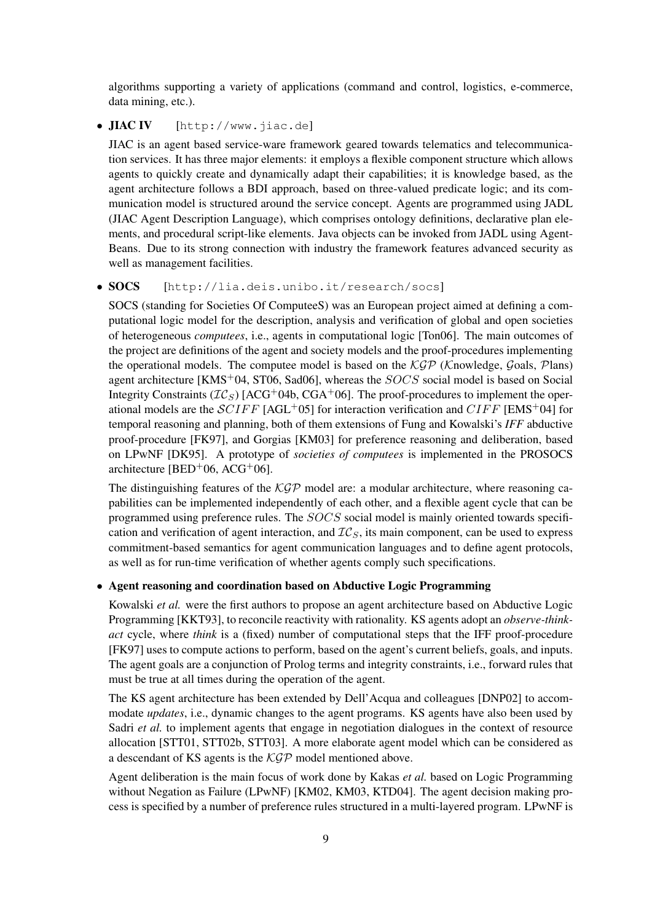algorithms supporting a variety of applications (command and control, logistics, e-commerce, data mining, etc.).

## $\bullet$  JIAC IV [http://www.jiac.de]

JIAC is an agent based service-ware framework geared towards telematics and telecommunication services. It has three major elements: it employs a flexible component structure which allows agents to quickly create and dynamically adapt their capabilities; it is knowledge based, as the agent architecture follows a BDI approach, based on three-valued predicate logic; and its communication model is structured around the service concept. Agents are programmed using JADL (JIAC Agent Description Language), which comprises ontology definitions, declarative plan elements, and procedural script-like elements. Java objects can be invoked from JADL using Agent-Beans. Due to its strong connection with industry the framework features advanced security as well as management facilities.

#### • SOCS [http://lia.deis.unibo.it/research/socs]

SOCS (standing for Societies Of ComputeeS) was an European project aimed at defining a computational logic model for the description, analysis and verification of global and open societies of heterogeneous *computees*, i.e., agents in computational logic [Ton06]. The main outcomes of the project are definitions of the agent and society models and the proof-procedures implementing the operational models. The computee model is based on the  $KGP$  (Knowledge, Goals, Plans) agent architecture [KMS<sup>+</sup>04, ST06, Sad06], whereas the *SOCS* social model is based on Social Integrity Constraints ( $TC_S$ ) [ACG<sup>+</sup>04b, CGA<sup>+</sup>06]. The proof-procedures to implement the operational models are the  $SCIFF$  [AGL+05] for interaction verification and  $CIFF$  [EMS+04] for temporal reasoning and planning, both of them extensions of Fung and Kowalski's *IFF* abductive proof-procedure [FK97], and Gorgias [KM03] for preference reasoning and deliberation, based on LPwNF [DK95]. A prototype of *societies of computees* is implemented in the PROSOCS architecture [BED<sup>+</sup>06, ACG<sup>+</sup>06].

The distinguishing features of the  $KGP$  model are: a modular architecture, where reasoning capabilities can be implemented independently of each other, and a flexible agent cycle that can be programmed using preference rules. The SOCS social model is mainly oriented towards specification and verification of agent interaction, and  $TC_S$ , its main component, can be used to express commitment-based semantics for agent communication languages and to define agent protocols, as well as for run-time verification of whether agents comply such specifications.

#### • Agent reasoning and coordination based on Abductive Logic Programming

Kowalski *et al.* were the first authors to propose an agent architecture based on Abductive Logic Programming [KKT93], to reconcile reactivity with rationality. KS agents adopt an *observe-thinkact* cycle, where *think* is a (fixed) number of computational steps that the IFF proof-procedure [FK97] uses to compute actions to perform, based on the agent's current beliefs, goals, and inputs. The agent goals are a conjunction of Prolog terms and integrity constraints, i.e., forward rules that must be true at all times during the operation of the agent.

The KS agent architecture has been extended by Dell'Acqua and colleagues [DNP02] to accommodate *updates*, i.e., dynamic changes to the agent programs. KS agents have also been used by Sadri *et al.* to implement agents that engage in negotiation dialogues in the context of resource allocation [STT01, STT02b, STT03]. A more elaborate agent model which can be considered as a descendant of KS agents is the KGP model mentioned above.

Agent deliberation is the main focus of work done by Kakas *et al.* based on Logic Programming without Negation as Failure (LPwNF) [KM02, KM03, KTD04]. The agent decision making process is specified by a number of preference rules structured in a multi-layered program. LPwNF is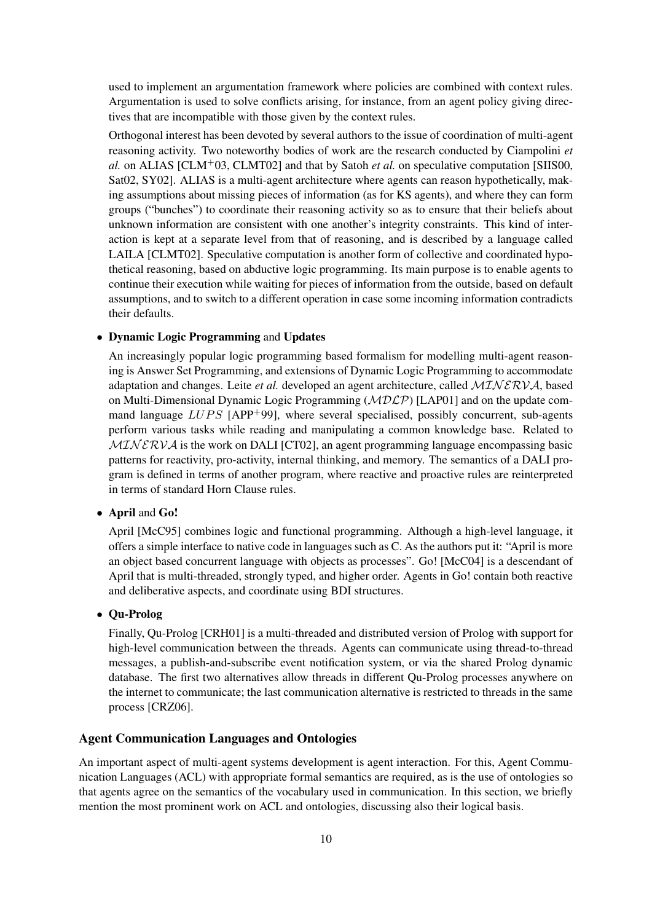used to implement an argumentation framework where policies are combined with context rules. Argumentation is used to solve conflicts arising, for instance, from an agent policy giving directives that are incompatible with those given by the context rules.

Orthogonal interest has been devoted by several authors to the issue of coordination of multi-agent reasoning activity. Two noteworthy bodies of work are the research conducted by Ciampolini *et al.* on ALIAS [CLM<sup>+</sup>03, CLMT02] and that by Satoh *et al.* on speculative computation [SIIS00, Sat02, SY02]. ALIAS is a multi-agent architecture where agents can reason hypothetically, making assumptions about missing pieces of information (as for KS agents), and where they can form groups ("bunches") to coordinate their reasoning activity so as to ensure that their beliefs about unknown information are consistent with one another's integrity constraints. This kind of interaction is kept at a separate level from that of reasoning, and is described by a language called LAILA [CLMT02]. Speculative computation is another form of collective and coordinated hypothetical reasoning, based on abductive logic programming. Its main purpose is to enable agents to continue their execution while waiting for pieces of information from the outside, based on default assumptions, and to switch to a different operation in case some incoming information contradicts their defaults.

#### • Dynamic Logic Programming and Updates

An increasingly popular logic programming based formalism for modelling multi-agent reasoning is Answer Set Programming, and extensions of Dynamic Logic Programming to accommodate adaptation and changes. Leite *et al.* developed an agent architecture, called  $MINERVA$ , based on Multi-Dimensional Dynamic Logic Programming (MDLP) [LAP01] and on the update command language  $LUPS$  [APP<sup>+</sup>99], where several specialised, possibly concurrent, sub-agents perform various tasks while reading and manipulating a common knowledge base. Related to  $MLNERVA$  is the work on DALI [CT02], an agent programming language encompassing basic patterns for reactivity, pro-activity, internal thinking, and memory. The semantics of a DALI program is defined in terms of another program, where reactive and proactive rules are reinterpreted in terms of standard Horn Clause rules.

• April and Go!

April [McC95] combines logic and functional programming. Although a high-level language, it offers a simple interface to native code in languages such as C. As the authors put it: "April is more an object based concurrent language with objects as processes". Go! [McC04] is a descendant of April that is multi-threaded, strongly typed, and higher order. Agents in Go! contain both reactive and deliberative aspects, and coordinate using BDI structures.

#### • Qu-Prolog

Finally, Qu-Prolog [CRH01] is a multi-threaded and distributed version of Prolog with support for high-level communication between the threads. Agents can communicate using thread-to-thread messages, a publish-and-subscribe event notification system, or via the shared Prolog dynamic database. The first two alternatives allow threads in different Qu-Prolog processes anywhere on the internet to communicate; the last communication alternative is restricted to threads in the same process [CRZ06].

#### Agent Communication Languages and Ontologies

An important aspect of multi-agent systems development is agent interaction. For this, Agent Communication Languages (ACL) with appropriate formal semantics are required, as is the use of ontologies so that agents agree on the semantics of the vocabulary used in communication. In this section, we briefly mention the most prominent work on ACL and ontologies, discussing also their logical basis.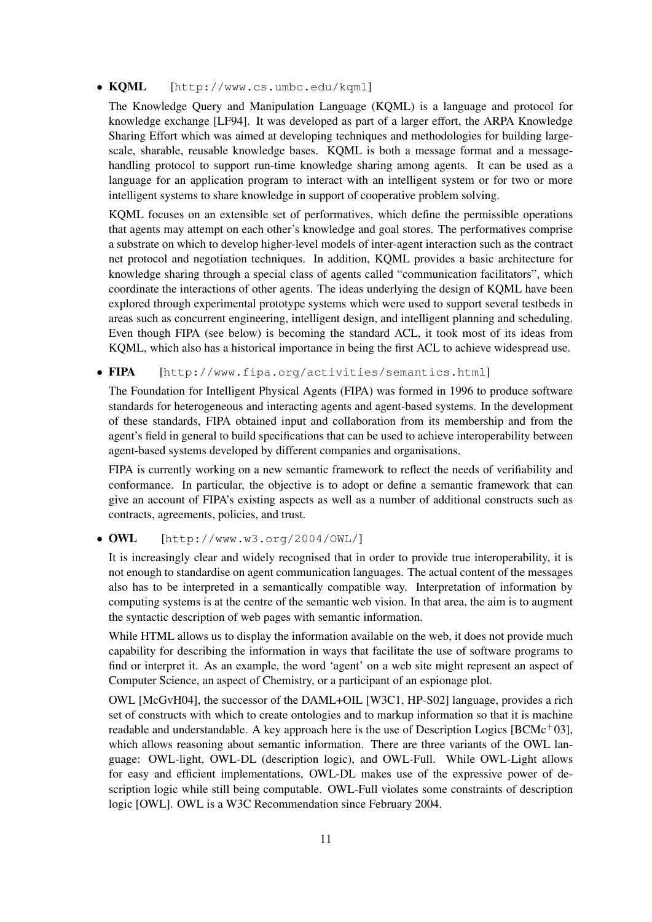#### • KQML [http://www.cs.umbc.edu/kqml]

The Knowledge Query and Manipulation Language (KQML) is a language and protocol for knowledge exchange [LF94]. It was developed as part of a larger effort, the ARPA Knowledge Sharing Effort which was aimed at developing techniques and methodologies for building largescale, sharable, reusable knowledge bases. KQML is both a message format and a messagehandling protocol to support run-time knowledge sharing among agents. It can be used as a language for an application program to interact with an intelligent system or for two or more intelligent systems to share knowledge in support of cooperative problem solving.

KQML focuses on an extensible set of performatives, which define the permissible operations that agents may attempt on each other's knowledge and goal stores. The performatives comprise a substrate on which to develop higher-level models of inter-agent interaction such as the contract net protocol and negotiation techniques. In addition, KQML provides a basic architecture for knowledge sharing through a special class of agents called "communication facilitators", which coordinate the interactions of other agents. The ideas underlying the design of KQML have been explored through experimental prototype systems which were used to support several testbeds in areas such as concurrent engineering, intelligent design, and intelligent planning and scheduling. Even though FIPA (see below) is becoming the standard ACL, it took most of its ideas from KQML, which also has a historical importance in being the first ACL to achieve widespread use.

#### • FIPA [http://www.fipa.org/activities/semantics.html]

The Foundation for Intelligent Physical Agents (FIPA) was formed in 1996 to produce software standards for heterogeneous and interacting agents and agent-based systems. In the development of these standards, FIPA obtained input and collaboration from its membership and from the agent's field in general to build specifications that can be used to achieve interoperability between agent-based systems developed by different companies and organisations.

FIPA is currently working on a new semantic framework to reflect the needs of verifiability and conformance. In particular, the objective is to adopt or define a semantic framework that can give an account of FIPA's existing aspects as well as a number of additional constructs such as contracts, agreements, policies, and trust.

#### $\bullet$  OWL [http://www.w3.org/2004/OWL/]

It is increasingly clear and widely recognised that in order to provide true interoperability, it is not enough to standardise on agent communication languages. The actual content of the messages also has to be interpreted in a semantically compatible way. Interpretation of information by computing systems is at the centre of the semantic web vision. In that area, the aim is to augment the syntactic description of web pages with semantic information.

While HTML allows us to display the information available on the web, it does not provide much capability for describing the information in ways that facilitate the use of software programs to find or interpret it. As an example, the word 'agent' on a web site might represent an aspect of Computer Science, an aspect of Chemistry, or a participant of an espionage plot.

OWL [McGvH04], the successor of the DAML+OIL [W3C1, HP-S02] language, provides a rich set of constructs with which to create ontologies and to markup information so that it is machine readable and understandable. A key approach here is the use of Description Logics [BCM $c$ <sup>+</sup>03], which allows reasoning about semantic information. There are three variants of the OWL language: OWL-light, OWL-DL (description logic), and OWL-Full. While OWL-Light allows for easy and efficient implementations, OWL-DL makes use of the expressive power of description logic while still being computable. OWL-Full violates some constraints of description logic [OWL]. OWL is a W3C Recommendation since February 2004.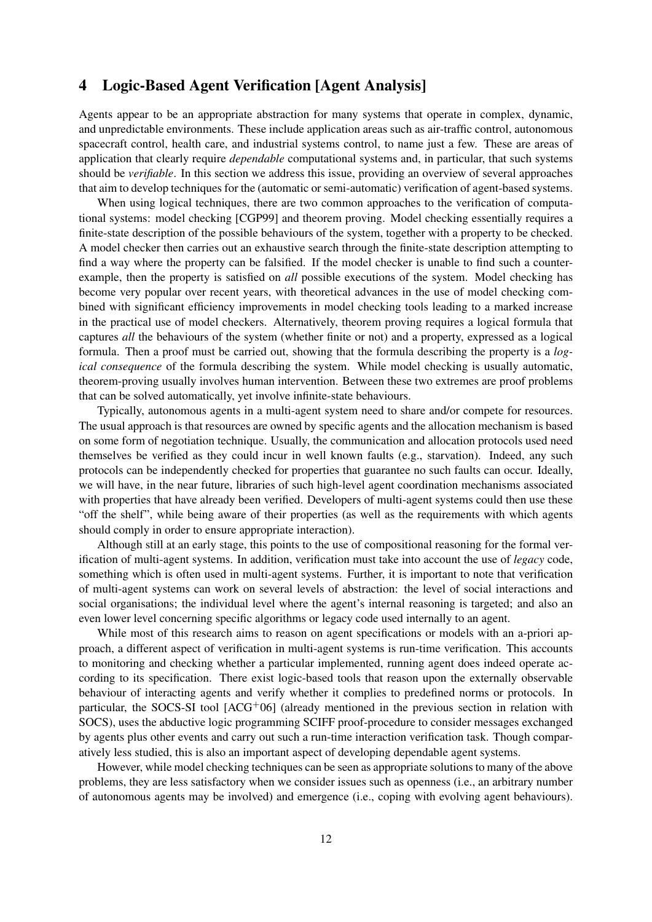# 4 Logic-Based Agent Verification [Agent Analysis]

Agents appear to be an appropriate abstraction for many systems that operate in complex, dynamic, and unpredictable environments. These include application areas such as air-traffic control, autonomous spacecraft control, health care, and industrial systems control, to name just a few. These are areas of application that clearly require *dependable* computational systems and, in particular, that such systems should be *verifiable*. In this section we address this issue, providing an overview of several approaches that aim to develop techniques for the (automatic or semi-automatic) verification of agent-based systems.

When using logical techniques, there are two common approaches to the verification of computational systems: model checking [CGP99] and theorem proving. Model checking essentially requires a finite-state description of the possible behaviours of the system, together with a property to be checked. A model checker then carries out an exhaustive search through the finite-state description attempting to find a way where the property can be falsified. If the model checker is unable to find such a counterexample, then the property is satisfied on *all* possible executions of the system. Model checking has become very popular over recent years, with theoretical advances in the use of model checking combined with significant efficiency improvements in model checking tools leading to a marked increase in the practical use of model checkers. Alternatively, theorem proving requires a logical formula that captures *all* the behaviours of the system (whether finite or not) and a property, expressed as a logical formula. Then a proof must be carried out, showing that the formula describing the property is a *logical consequence* of the formula describing the system. While model checking is usually automatic, theorem-proving usually involves human intervention. Between these two extremes are proof problems that can be solved automatically, yet involve infinite-state behaviours.

Typically, autonomous agents in a multi-agent system need to share and/or compete for resources. The usual approach is that resources are owned by specific agents and the allocation mechanism is based on some form of negotiation technique. Usually, the communication and allocation protocols used need themselves be verified as they could incur in well known faults (e.g., starvation). Indeed, any such protocols can be independently checked for properties that guarantee no such faults can occur. Ideally, we will have, in the near future, libraries of such high-level agent coordination mechanisms associated with properties that have already been verified. Developers of multi-agent systems could then use these "off the shelf", while being aware of their properties (as well as the requirements with which agents should comply in order to ensure appropriate interaction).

Although still at an early stage, this points to the use of compositional reasoning for the formal verification of multi-agent systems. In addition, verification must take into account the use of *legacy* code, something which is often used in multi-agent systems. Further, it is important to note that verification of multi-agent systems can work on several levels of abstraction: the level of social interactions and social organisations; the individual level where the agent's internal reasoning is targeted; and also an even lower level concerning specific algorithms or legacy code used internally to an agent.

While most of this research aims to reason on agent specifications or models with an a-priori approach, a different aspect of verification in multi-agent systems is run-time verification. This accounts to monitoring and checking whether a particular implemented, running agent does indeed operate according to its specification. There exist logic-based tools that reason upon the externally observable behaviour of interacting agents and verify whether it complies to predefined norms or protocols. In particular, the SOCS-SI tool  $[ACG<sup>+</sup>06]$  (already mentioned in the previous section in relation with SOCS), uses the abductive logic programming SCIFF proof-procedure to consider messages exchanged by agents plus other events and carry out such a run-time interaction verification task. Though comparatively less studied, this is also an important aspect of developing dependable agent systems.

However, while model checking techniques can be seen as appropriate solutions to many of the above problems, they are less satisfactory when we consider issues such as openness (i.e., an arbitrary number of autonomous agents may be involved) and emergence (i.e., coping with evolving agent behaviours).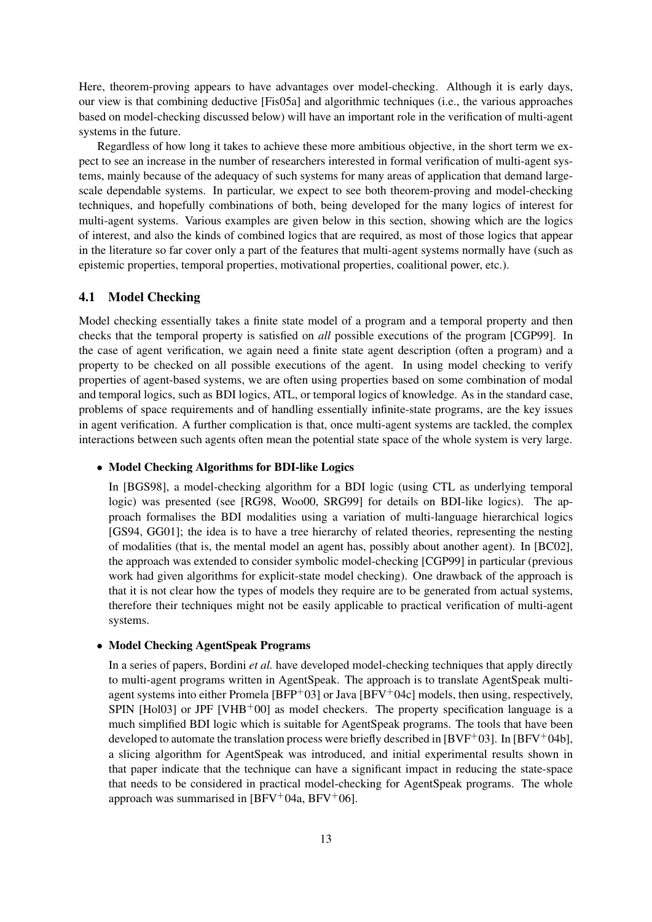Here, theorem-proving appears to have advantages over model-checking. Although it is early days, our view is that combining deductive [Fis05a] and algorithmic techniques (i.e., the various approaches based on model-checking discussed below) will have an important role in the verification of multi-agent systems in the future.

Regardless of how long it takes to achieve these more ambitious objective, in the short term we expect to see an increase in the number of researchers interested in formal verification of multi-agent systems, mainly because of the adequacy of such systems for many areas of application that demand largescale dependable systems. In particular, we expect to see both theorem-proving and model-checking techniques, and hopefully combinations of both, being developed for the many logics of interest for multi-agent systems. Various examples are given below in this section, showing which are the logics of interest, and also the kinds of combined logics that are required, as most of those logics that appear in the literature so far cover only a part of the features that multi-agent systems normally have (such as epistemic properties, temporal properties, motivational properties, coalitional power, etc.).

#### 4.1 Model Checking

Model checking essentially takes a finite state model of a program and a temporal property and then checks that the temporal property is satisfied on *all* possible executions of the program [CGP99]. In the case of agent verification, we again need a finite state agent description (often a program) and a property to be checked on all possible executions of the agent. In using model checking to verify properties of agent-based systems, we are often using properties based on some combination of modal and temporal logics, such as BDI logics, ATL, or temporal logics of knowledge. As in the standard case, problems of space requirements and of handling essentially infinite-state programs, are the key issues in agent verification. A further complication is that, once multi-agent systems are tackled, the complex interactions between such agents often mean the potential state space of the whole system is very large.

#### • Model Checking Algorithms for BDI-like Logics

In [BGS98], a model-checking algorithm for a BDI logic (using CTL as underlying temporal logic) was presented (see [RG98, Woo00, SRG99] for details on BDI-like logics). The approach formalises the BDI modalities using a variation of multi-language hierarchical logics [GS94, GG01]; the idea is to have a tree hierarchy of related theories, representing the nesting of modalities (that is, the mental model an agent has, possibly about another agent). In [BC02], the approach was extended to consider symbolic model-checking [CGP99] in particular (previous work had given algorithms for explicit-state model checking). One drawback of the approach is that it is not clear how the types of models they require are to be generated from actual systems, therefore their techniques might not be easily applicable to practical verification of multi-agent systems.

#### • Model Checking AgentSpeak Programs

In a series of papers, Bordini *et al.* have developed model-checking techniques that apply directly to multi-agent programs written in AgentSpeak. The approach is to translate AgentSpeak multiagent systems into either Promela [BFP+03] or Java [BFV+04c] models, then using, respectively, SPIN  $[Hol03]$  or JPF  $[VHB<sup>+</sup>00]$  as model checkers. The property specification language is a much simplified BDI logic which is suitable for AgentSpeak programs. The tools that have been developed to automate the translation process were briefly described in  $[BVF^+03]$ . In  $[BV^+04b]$ , a slicing algorithm for AgentSpeak was introduced, and initial experimental results shown in that paper indicate that the technique can have a significant impact in reducing the state-space that needs to be considered in practical model-checking for AgentSpeak programs. The whole approach was summarised in  $IBFV^+04a$ ,  $BFV^+061$ .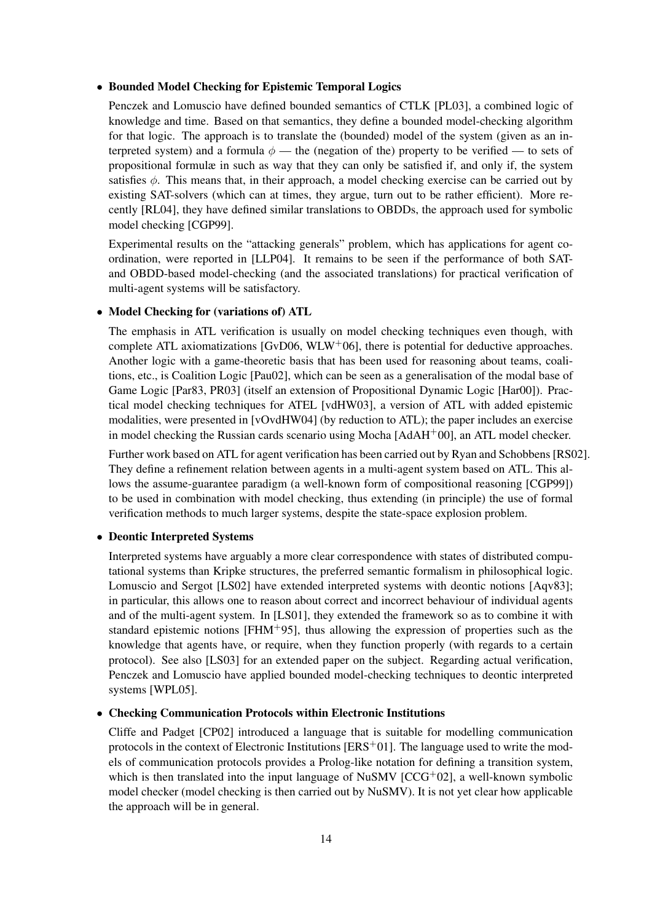#### • Bounded Model Checking for Epistemic Temporal Logics

Penczek and Lomuscio have defined bounded semantics of CTLK [PL03], a combined logic of knowledge and time. Based on that semantics, they define a bounded model-checking algorithm for that logic. The approach is to translate the (bounded) model of the system (given as an interpreted system) and a formula  $\phi$  — the (negation of the) property to be verified — to sets of propositional formulæ in such as way that they can only be satisfied if, and only if, the system satisfies  $\phi$ . This means that, in their approach, a model checking exercise can be carried out by existing SAT-solvers (which can at times, they argue, turn out to be rather efficient). More recently [RL04], they have defined similar translations to OBDDs, the approach used for symbolic model checking [CGP99].

Experimental results on the "attacking generals" problem, which has applications for agent coordination, were reported in [LLP04]. It remains to be seen if the performance of both SATand OBDD-based model-checking (and the associated translations) for practical verification of multi-agent systems will be satisfactory.

#### • Model Checking for (variations of) ATL

The emphasis in ATL verification is usually on model checking techniques even though, with complete ATL axiomatizations  $[GvD06, WLW^+06]$ , there is potential for deductive approaches. Another logic with a game-theoretic basis that has been used for reasoning about teams, coalitions, etc., is Coalition Logic [Pau02], which can be seen as a generalisation of the modal base of Game Logic [Par83, PR03] (itself an extension of Propositional Dynamic Logic [Har00]). Practical model checking techniques for ATEL [vdHW03], a version of ATL with added epistemic modalities, were presented in [vOvdHW04] (by reduction to ATL); the paper includes an exercise in model checking the Russian cards scenario using Mocha [AdAH+00], an ATL model checker.

Further work based on ATL for agent verification has been carried out by Ryan and Schobbens [RS02]. They define a refinement relation between agents in a multi-agent system based on ATL. This allows the assume-guarantee paradigm (a well-known form of compositional reasoning [CGP99]) to be used in combination with model checking, thus extending (in principle) the use of formal verification methods to much larger systems, despite the state-space explosion problem.

#### • Deontic Interpreted Systems

Interpreted systems have arguably a more clear correspondence with states of distributed computational systems than Kripke structures, the preferred semantic formalism in philosophical logic. Lomuscio and Sergot [LS02] have extended interpreted systems with deontic notions [Aqv83]; in particular, this allows one to reason about correct and incorrect behaviour of individual agents and of the multi-agent system. In [LS01], they extended the framework so as to combine it with standard epistemic notions  $[FHM+95]$ , thus allowing the expression of properties such as the knowledge that agents have, or require, when they function properly (with regards to a certain protocol). See also [LS03] for an extended paper on the subject. Regarding actual verification, Penczek and Lomuscio have applied bounded model-checking techniques to deontic interpreted systems [WPL05].

#### • Checking Communication Protocols within Electronic Institutions

Cliffe and Padget [CP02] introduced a language that is suitable for modelling communication protocols in the context of Electronic Institutions  $[ERS<sup>+</sup>01]$ . The language used to write the models of communication protocols provides a Prolog-like notation for defining a transition system, which is then translated into the input language of NuSMV  $[CCG<sup>+</sup>02]$ , a well-known symbolic model checker (model checking is then carried out by NuSMV). It is not yet clear how applicable the approach will be in general.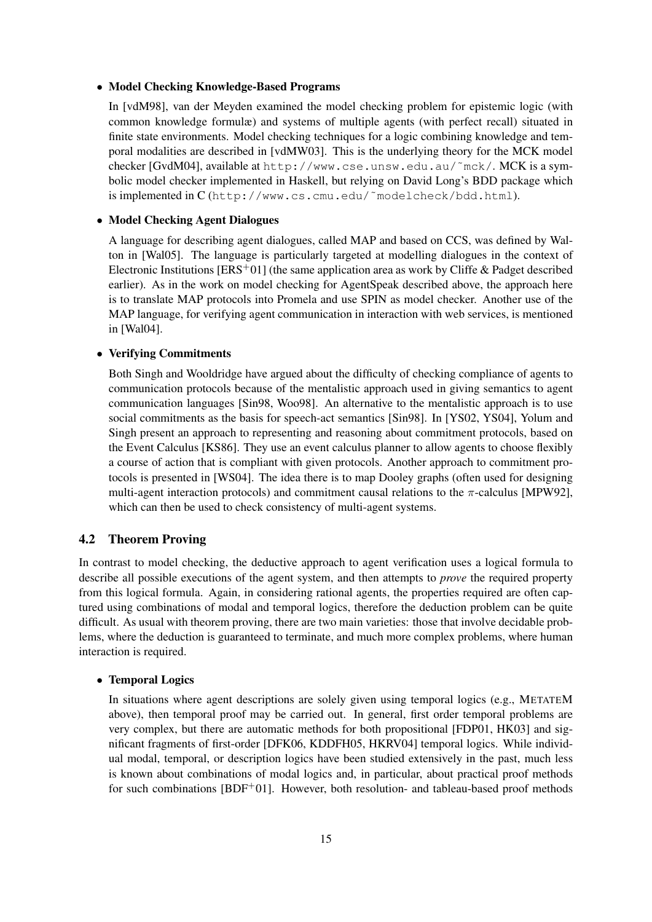#### • Model Checking Knowledge-Based Programs

In [vdM98], van der Meyden examined the model checking problem for epistemic logic (with common knowledge formulæ) and systems of multiple agents (with perfect recall) situated in finite state environments. Model checking techniques for a logic combining knowledge and temporal modalities are described in [vdMW03]. This is the underlying theory for the MCK model checker [GvdM04], available at http://www.cse.unsw.edu.au/˜mck/. MCK is a symbolic model checker implemented in Haskell, but relying on David Long's BDD package which is implemented in C (http://www.cs.cmu.edu/˜modelcheck/bdd.html).

#### • Model Checking Agent Dialogues

A language for describing agent dialogues, called MAP and based on CCS, was defined by Walton in [Wal05]. The language is particularly targeted at modelling dialogues in the context of Electronic Institutions  $[ERS^+01]$  (the same application area as work by Cliffe & Padget described earlier). As in the work on model checking for AgentSpeak described above, the approach here is to translate MAP protocols into Promela and use SPIN as model checker. Another use of the MAP language, for verifying agent communication in interaction with web services, is mentioned in [Wal04].

### • Verifying Commitments

Both Singh and Wooldridge have argued about the difficulty of checking compliance of agents to communication protocols because of the mentalistic approach used in giving semantics to agent communication languages [Sin98, Woo98]. An alternative to the mentalistic approach is to use social commitments as the basis for speech-act semantics [Sin98]. In [YS02, YS04], Yolum and Singh present an approach to representing and reasoning about commitment protocols, based on the Event Calculus [KS86]. They use an event calculus planner to allow agents to choose flexibly a course of action that is compliant with given protocols. Another approach to commitment protocols is presented in [WS04]. The idea there is to map Dooley graphs (often used for designing multi-agent interaction protocols) and commitment causal relations to the  $\pi$ -calculus [MPW92], which can then be used to check consistency of multi-agent systems.

#### 4.2 Theorem Proving

In contrast to model checking, the deductive approach to agent verification uses a logical formula to describe all possible executions of the agent system, and then attempts to *prove* the required property from this logical formula. Again, in considering rational agents, the properties required are often captured using combinations of modal and temporal logics, therefore the deduction problem can be quite difficult. As usual with theorem proving, there are two main varieties: those that involve decidable problems, where the deduction is guaranteed to terminate, and much more complex problems, where human interaction is required.

#### • Temporal Logics

In situations where agent descriptions are solely given using temporal logics (e.g., METATEM above), then temporal proof may be carried out. In general, first order temporal problems are very complex, but there are automatic methods for both propositional [FDP01, HK03] and significant fragments of first-order [DFK06, KDDFH05, HKRV04] temporal logics. While individual modal, temporal, or description logics have been studied extensively in the past, much less is known about combinations of modal logics and, in particular, about practical proof methods for such combinations  $[BDF^+01]$ . However, both resolution- and tableau-based proof methods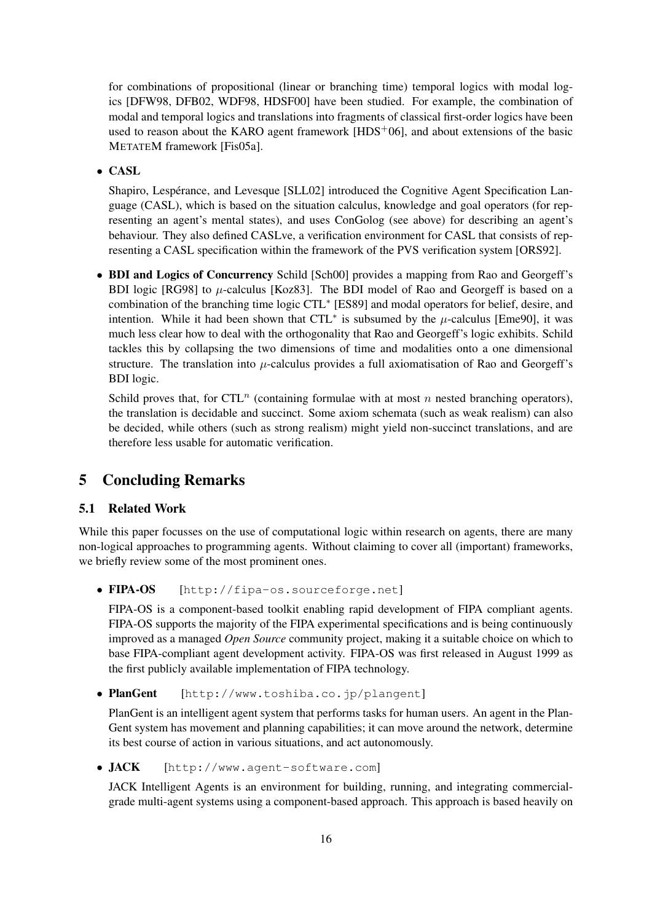for combinations of propositional (linear or branching time) temporal logics with modal logics [DFW98, DFB02, WDF98, HDSF00] have been studied. For example, the combination of modal and temporal logics and translations into fragments of classical first-order logics have been used to reason about the KARO agent framework  $[HDS<sup>+</sup>06]$ , and about extensions of the basic METATEM framework [Fis05a].

• CASL

Shapiro, Lespérance, and Levesque [SLL02] introduced the Cognitive Agent Specification Language (CASL), which is based on the situation calculus, knowledge and goal operators (for representing an agent's mental states), and uses ConGolog (see above) for describing an agent's behaviour. They also defined CASLve, a verification environment for CASL that consists of representing a CASL specification within the framework of the PVS verification system [ORS92].

• BDI and Logics of Concurrency Schild [Sch00] provides a mapping from Rao and Georgeff's BDI logic [RG98] to  $\mu$ -calculus [Koz83]. The BDI model of Rao and Georgeff is based on a combination of the branching time logic CTL<sup>\*</sup> [ES89] and modal operators for belief, desire, and intention. While it had been shown that CTL<sup>\*</sup> is subsumed by the  $\mu$ -calculus [Eme90], it was much less clear how to deal with the orthogonality that Rao and Georgeff's logic exhibits. Schild tackles this by collapsing the two dimensions of time and modalities onto a one dimensional structure. The translation into  $\mu$ -calculus provides a full axiomatisation of Rao and Georgeff's BDI logic.

Schild proves that, for CTL<sup>n</sup> (containing formulae with at most n nested branching operators), the translation is decidable and succinct. Some axiom schemata (such as weak realism) can also be decided, while others (such as strong realism) might yield non-succinct translations, and are therefore less usable for automatic verification.

# 5 Concluding Remarks

# 5.1 Related Work

While this paper focusses on the use of computational logic within research on agents, there are many non-logical approaches to programming agents. Without claiming to cover all (important) frameworks, we briefly review some of the most prominent ones.

• FIPA-OS [http://fipa-os.sourceforge.net]

FIPA-OS is a component-based toolkit enabling rapid development of FIPA compliant agents. FIPA-OS supports the majority of the FIPA experimental specifications and is being continuously improved as a managed *Open Source* community project, making it a suitable choice on which to base FIPA-compliant agent development activity. FIPA-OS was first released in August 1999 as the first publicly available implementation of FIPA technology.

• PlanGent [http://www.toshiba.co.jp/plangent]

PlanGent is an intelligent agent system that performs tasks for human users. An agent in the Plan-Gent system has movement and planning capabilities; it can move around the network, determine its best course of action in various situations, and act autonomously.

• JACK [http://www.agent-software.com]

JACK Intelligent Agents is an environment for building, running, and integrating commercialgrade multi-agent systems using a component-based approach. This approach is based heavily on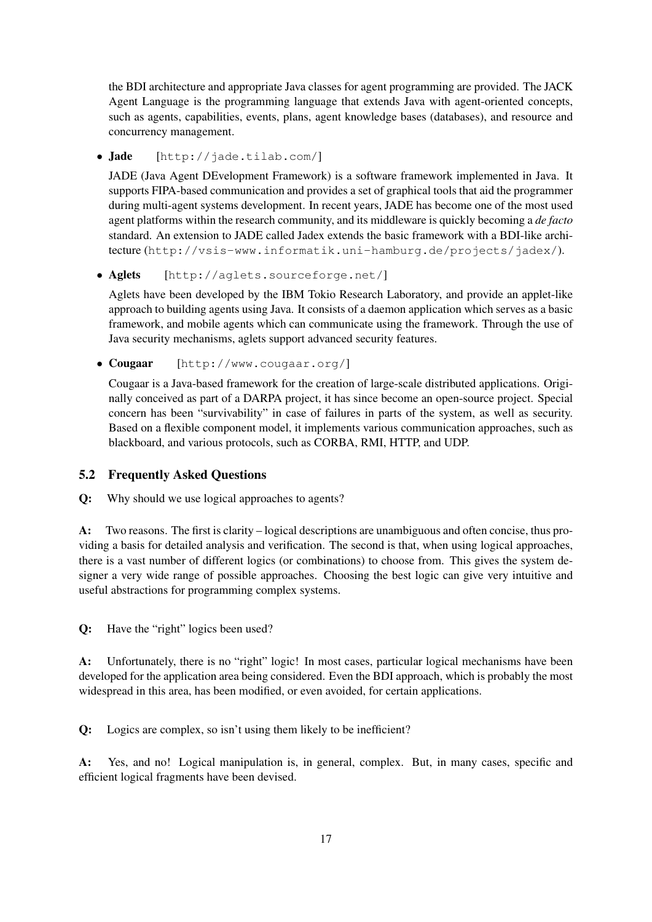the BDI architecture and appropriate Java classes for agent programming are provided. The JACK Agent Language is the programming language that extends Java with agent-oriented concepts, such as agents, capabilities, events, plans, agent knowledge bases (databases), and resource and concurrency management.

• Jade [http://jade.tilab.com/]

JADE (Java Agent DEvelopment Framework) is a software framework implemented in Java. It supports FIPA-based communication and provides a set of graphical tools that aid the programmer during multi-agent systems development. In recent years, JADE has become one of the most used agent platforms within the research community, and its middleware is quickly becoming a *de facto* standard. An extension to JADE called Jadex extends the basic framework with a BDI-like architecture (http://vsis-www.informatik.uni-hamburg.de/projects/jadex/).

• Aglets [http://aglets.sourceforge.net/]

Aglets have been developed by the IBM Tokio Research Laboratory, and provide an applet-like approach to building agents using Java. It consists of a daemon application which serves as a basic framework, and mobile agents which can communicate using the framework. Through the use of Java security mechanisms, aglets support advanced security features.

• Cougaar [http://www.cougaar.org/]

Cougaar is a Java-based framework for the creation of large-scale distributed applications. Originally conceived as part of a DARPA project, it has since become an open-source project. Special concern has been "survivability" in case of failures in parts of the system, as well as security. Based on a flexible component model, it implements various communication approaches, such as blackboard, and various protocols, such as CORBA, RMI, HTTP, and UDP.

#### 5.2 Frequently Asked Questions

Q: Why should we use logical approaches to agents?

A: Two reasons. The first is clarity – logical descriptions are unambiguous and often concise, thus providing a basis for detailed analysis and verification. The second is that, when using logical approaches, there is a vast number of different logics (or combinations) to choose from. This gives the system designer a very wide range of possible approaches. Choosing the best logic can give very intuitive and useful abstractions for programming complex systems.

Q: Have the "right" logics been used?

A: Unfortunately, there is no "right" logic! In most cases, particular logical mechanisms have been developed for the application area being considered. Even the BDI approach, which is probably the most widespread in this area, has been modified, or even avoided, for certain applications.

Q: Logics are complex, so isn't using them likely to be inefficient?

A: Yes, and no! Logical manipulation is, in general, complex. But, in many cases, specific and efficient logical fragments have been devised.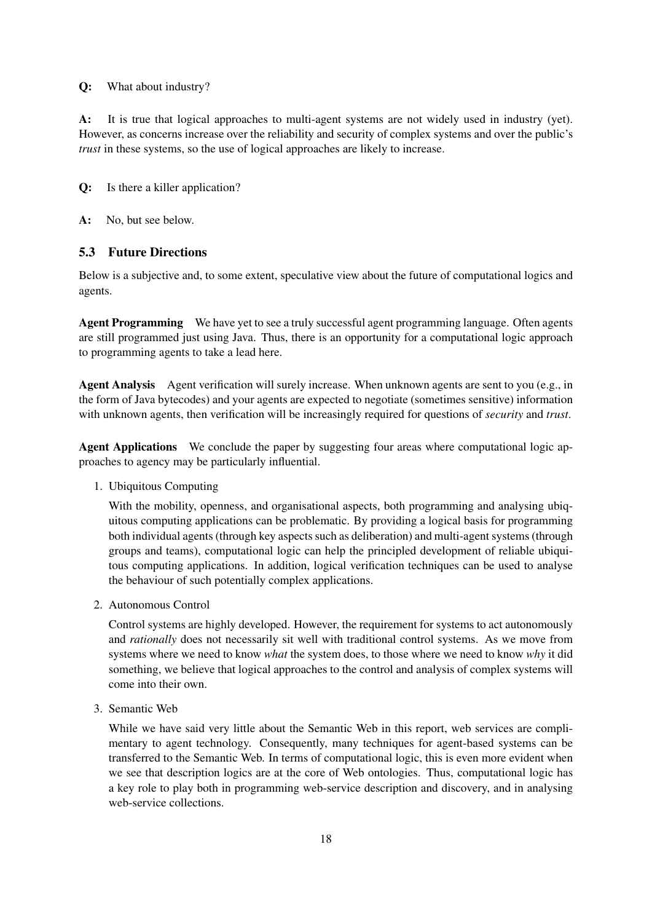#### Q: What about industry?

A: It is true that logical approaches to multi-agent systems are not widely used in industry (yet). However, as concerns increase over the reliability and security of complex systems and over the public's *trust* in these systems, so the use of logical approaches are likely to increase.

Q: Is there a killer application?

A: No, but see below.

#### 5.3 Future Directions

Below is a subjective and, to some extent, speculative view about the future of computational logics and agents.

Agent Programming We have yet to see a truly successful agent programming language. Often agents are still programmed just using Java. Thus, there is an opportunity for a computational logic approach to programming agents to take a lead here.

Agent Analysis Agent verification will surely increase. When unknown agents are sent to you (e.g., in the form of Java bytecodes) and your agents are expected to negotiate (sometimes sensitive) information with unknown agents, then verification will be increasingly required for questions of *security* and *trust*.

Agent Applications We conclude the paper by suggesting four areas where computational logic approaches to agency may be particularly influential.

1. Ubiquitous Computing

With the mobility, openness, and organisational aspects, both programming and analysing ubiquitous computing applications can be problematic. By providing a logical basis for programming both individual agents (through key aspects such as deliberation) and multi-agent systems (through groups and teams), computational logic can help the principled development of reliable ubiquitous computing applications. In addition, logical verification techniques can be used to analyse the behaviour of such potentially complex applications.

2. Autonomous Control

Control systems are highly developed. However, the requirement for systems to act autonomously and *rationally* does not necessarily sit well with traditional control systems. As we move from systems where we need to know *what* the system does, to those where we need to know *why* it did something, we believe that logical approaches to the control and analysis of complex systems will come into their own.

3. Semantic Web

While we have said very little about the Semantic Web in this report, web services are complimentary to agent technology. Consequently, many techniques for agent-based systems can be transferred to the Semantic Web. In terms of computational logic, this is even more evident when we see that description logics are at the core of Web ontologies. Thus, computational logic has a key role to play both in programming web-service description and discovery, and in analysing web-service collections.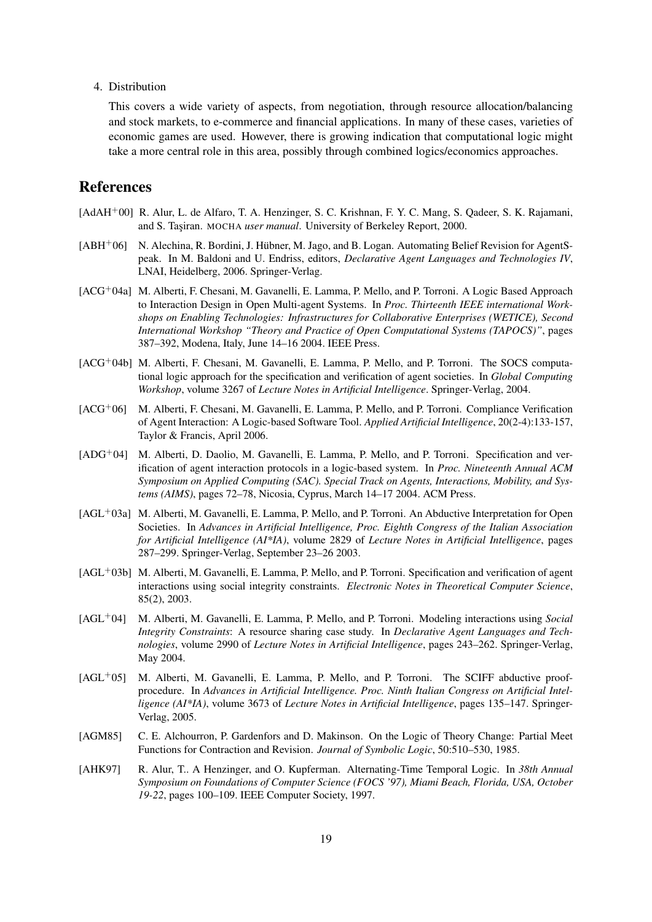4. Distribution

This covers a wide variety of aspects, from negotiation, through resource allocation/balancing and stock markets, to e-commerce and financial applications. In many of these cases, varieties of economic games are used. However, there is growing indication that computational logic might take a more central role in this area, possibly through combined logics/economics approaches.

# **References**

- [AdAH+00] R. Alur, L. de Alfaro, T. A. Henzinger, S. C. Krishnan, F. Y. C. Mang, S. Qadeer, S. K. Rajamani, and S. Tasiran. MOCHA *user manual*. University of Berkeley Report, 2000.
- [ABH<sup>+</sup>06] N. Alechina, R. Bordini, J. Hübner, M. Jago, and B. Logan. Automating Belief Revision for AgentSpeak. In M. Baldoni and U. Endriss, editors, *Declarative Agent Languages and Technologies IV*, LNAI, Heidelberg, 2006. Springer-Verlag.
- [ACG+04a] M. Alberti, F. Chesani, M. Gavanelli, E. Lamma, P. Mello, and P. Torroni. A Logic Based Approach to Interaction Design in Open Multi-agent Systems. In *Proc. Thirteenth IEEE international Workshops on Enabling Technologies: Infrastructures for Collaborative Enterprises (WETICE), Second International Workshop "Theory and Practice of Open Computational Systems (TAPOCS)"*, pages 387–392, Modena, Italy, June 14–16 2004. IEEE Press.
- [ACG<sup>+</sup>04b] M. Alberti, F. Chesani, M. Gavanelli, E. Lamma, P. Mello, and P. Torroni. The SOCS computational logic approach for the specification and verification of agent societies. In *Global Computing Workshop*, volume 3267 of *Lecture Notes in Artificial Intelligence*. Springer-Verlag, 2004.
- [ACG<sup>+</sup>06] M. Alberti, F. Chesani, M. Gavanelli, E. Lamma, P. Mello, and P. Torroni. Compliance Verification of Agent Interaction: A Logic-based Software Tool. *Applied Artificial Intelligence*, 20(2-4):133-157, Taylor & Francis, April 2006.
- [ADG<sup>+</sup>04] M. Alberti, D. Daolio, M. Gavanelli, E. Lamma, P. Mello, and P. Torroni. Specification and verification of agent interaction protocols in a logic-based system. In *Proc. Nineteenth Annual ACM Symposium on Applied Computing (SAC). Special Track on Agents, Interactions, Mobility, and Systems (AIMS)*, pages 72–78, Nicosia, Cyprus, March 14–17 2004. ACM Press.
- [AGL<sup>+</sup>03a] M. Alberti, M. Gavanelli, E. Lamma, P. Mello, and P. Torroni. An Abductive Interpretation for Open Societies. In *Advances in Artificial Intelligence, Proc. Eighth Congress of the Italian Association for Artificial Intelligence (AI\*IA)*, volume 2829 of *Lecture Notes in Artificial Intelligence*, pages 287–299. Springer-Verlag, September 23–26 2003.
- [AGL<sup>+</sup>03b] M. Alberti, M. Gavanelli, E. Lamma, P. Mello, and P. Torroni. Specification and verification of agent interactions using social integrity constraints. *Electronic Notes in Theoretical Computer Science*, 85(2), 2003.
- [AGL<sup>+</sup>04] M. Alberti, M. Gavanelli, E. Lamma, P. Mello, and P. Torroni. Modeling interactions using *Social Integrity Constraints*: A resource sharing case study. In *Declarative Agent Languages and Technologies*, volume 2990 of *Lecture Notes in Artificial Intelligence*, pages 243–262. Springer-Verlag, May 2004.
- [AGL<sup>+</sup>05] M. Alberti, M. Gavanelli, E. Lamma, P. Mello, and P. Torroni. The SCIFF abductive proofprocedure. In *Advances in Artificial Intelligence. Proc. Ninth Italian Congress on Artificial Intelligence (AI\*IA)*, volume 3673 of *Lecture Notes in Artificial Intelligence*, pages 135–147. Springer-Verlag, 2005.
- [AGM85] C. E. Alchourron, P. Gardenfors and D. Makinson. On the Logic of Theory Change: Partial Meet Functions for Contraction and Revision. *Journal of Symbolic Logic*, 50:510–530, 1985.
- [AHK97] R. Alur, T.. A Henzinger, and O. Kupferman. Alternating-Time Temporal Logic. In *38th Annual Symposium on Foundations of Computer Science (FOCS '97), Miami Beach, Florida, USA, October 19-22*, pages 100–109. IEEE Computer Society, 1997.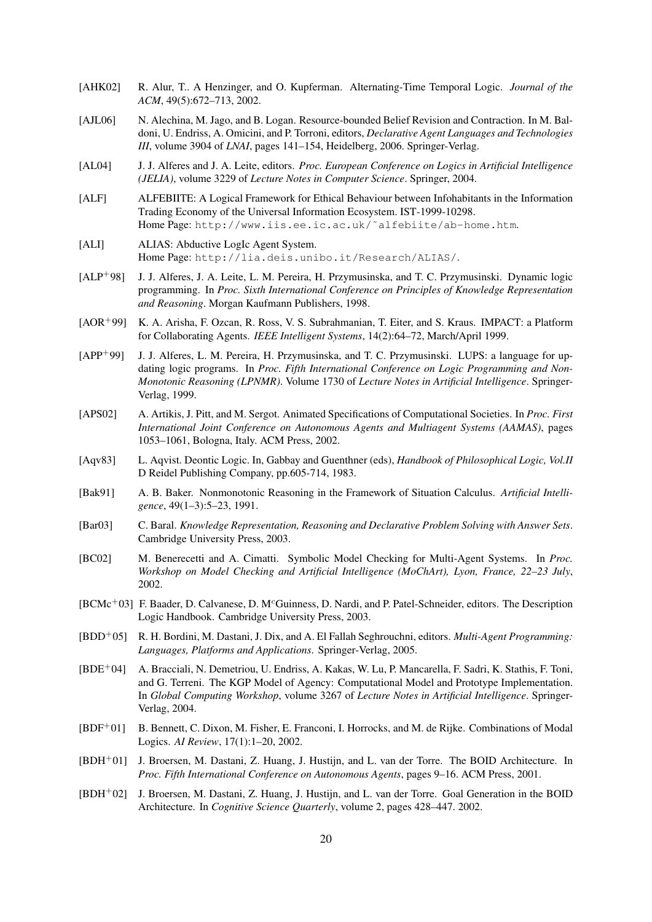- [AHK02] R. Alur, T.. A Henzinger, and O. Kupferman. Alternating-Time Temporal Logic. *Journal of the ACM*, 49(5):672–713, 2002.
- [AJL06] N. Alechina, M. Jago, and B. Logan. Resource-bounded Belief Revision and Contraction. In M. Baldoni, U. Endriss, A. Omicini, and P. Torroni, editors, *Declarative Agent Languages and Technologies III*, volume 3904 of *LNAI*, pages 141–154, Heidelberg, 2006. Springer-Verlag.
- [AL04] J. J. Alferes and J. A. Leite, editors. *Proc. European Conference on Logics in Artificial Intelligence (JELIA)*, volume 3229 of *Lecture Notes in Computer Science*. Springer, 2004.
- [ALF] ALFEBIITE: A Logical Framework for Ethical Behaviour between Infohabitants in the Information Trading Economy of the Universal Information Ecosystem. IST-1999-10298. Home Page: http://www.iis.ee.ic.ac.uk/˜alfebiite/ab-home.htm.
- [ALI] ALIAS: Abductive LogIc Agent System. Home Page: http://lia.deis.unibo.it/Research/ALIAS/.
- [ALP+98] J. J. Alferes, J. A. Leite, L. M. Pereira, H. Przymusinska, and T. C. Przymusinski. Dynamic logic programming. In *Proc. Sixth International Conference on Principles of Knowledge Representation and Reasoning*. Morgan Kaufmann Publishers, 1998.
- [AOR+99] K. A. Arisha, F. Ozcan, R. Ross, V. S. Subrahmanian, T. Eiter, and S. Kraus. IMPACT: a Platform for Collaborating Agents. *IEEE Intelligent Systems*, 14(2):64–72, March/April 1999.
- [APP<sup>+</sup>99] J. J. Alferes, L. M. Pereira, H. Przymusinska, and T. C. Przymusinski. LUPS: a language for updating logic programs. In *Proc. Fifth International Conference on Logic Programming and Non-Monotonic Reasoning (LPNMR)*. Volume 1730 of *Lecture Notes in Artificial Intelligence*. Springer-Verlag, 1999.
- [APS02] A. Artikis, J. Pitt, and M. Sergot. Animated Specifications of Computational Societies. In *Proc. First International Joint Conference on Autonomous Agents and Multiagent Systems (AAMAS)*, pages 1053–1061, Bologna, Italy. ACM Press, 2002.
- [Aqv83] L. Aqvist. Deontic Logic. In, Gabbay and Guenthner (eds), *Handbook of Philosophical Logic, Vol.II* D Reidel Publishing Company, pp.605-714, 1983.
- [Bak91] A. B. Baker. Nonmonotonic Reasoning in the Framework of Situation Calculus. *Artificial Intelligence*, 49(1–3):5–23, 1991.
- [Bar03] C. Baral. *Knowledge Representation, Reasoning and Declarative Problem Solving with Answer Sets*. Cambridge University Press, 2003.
- [BC02] M. Benerecetti and A. Cimatti. Symbolic Model Checking for Multi-Agent Systems. In *Proc. Workshop on Model Checking and Artificial Intelligence (MoChArt), Lyon, France, 22–23 July*, 2002.
- [BCMc<sup>+</sup>03] F. Baader, D. Calvanese, D. M<sup>c</sup>Guinness, D. Nardi, and P. Patel-Schneider, editors. The Description Logic Handbook. Cambridge University Press, 2003.
- [BDD<sup>+</sup>05] R. H. Bordini, M. Dastani, J. Dix, and A. El Fallah Seghrouchni, editors. *Multi-Agent Programming: Languages, Platforms and Applications*. Springer-Verlag, 2005.
- [BDE<sup>+</sup>04] A. Bracciali, N. Demetriou, U. Endriss, A. Kakas, W. Lu, P. Mancarella, F. Sadri, K. Stathis, F. Toni, and G. Terreni. The KGP Model of Agency: Computational Model and Prototype Implementation. In *Global Computing Workshop*, volume 3267 of *Lecture Notes in Artificial Intelligence*. Springer-Verlag, 2004.
- [BDF<sup>+</sup>01] B. Bennett, C. Dixon, M. Fisher, E. Franconi, I. Horrocks, and M. de Rijke. Combinations of Modal Logics. *AI Review*, 17(1):1–20, 2002.
- [BDH<sup>+</sup>01] J. Broersen, M. Dastani, Z. Huang, J. Hustijn, and L. van der Torre. The BOID Architecture. In *Proc. Fifth International Conference on Autonomous Agents*, pages 9–16. ACM Press, 2001.
- [BDH<sup>+</sup>02] J. Broersen, M. Dastani, Z. Huang, J. Hustijn, and L. van der Torre. Goal Generation in the BOID Architecture. In *Cognitive Science Quarterly*, volume 2, pages 428–447. 2002.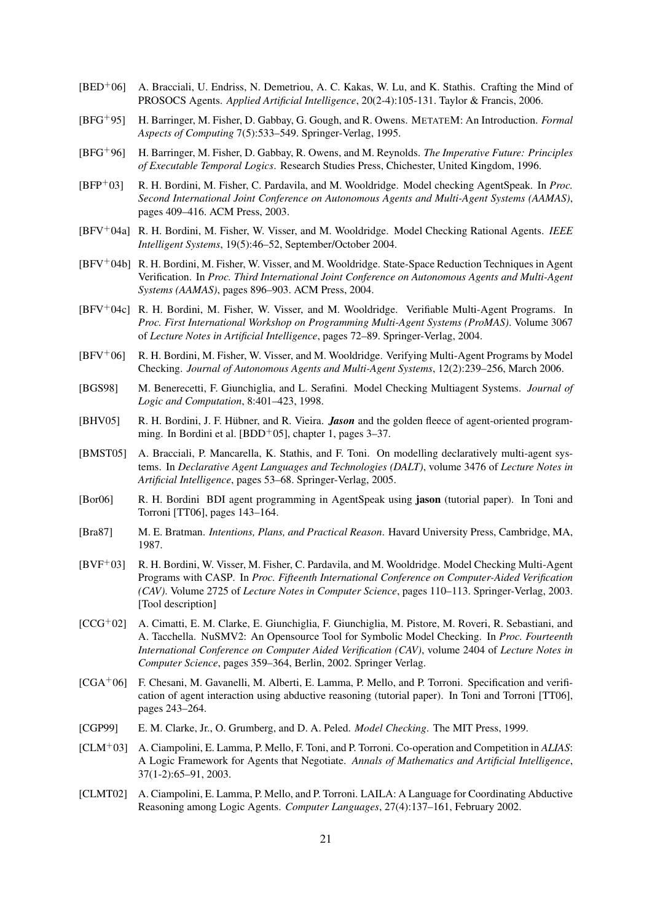- [BED+06] A. Bracciali, U. Endriss, N. Demetriou, A. C. Kakas, W. Lu, and K. Stathis. Crafting the Mind of PROSOCS Agents. *Applied Artificial Intelligence*, 20(2-4):105-131. Taylor & Francis, 2006.
- [BFG+95] H. Barringer, M. Fisher, D. Gabbay, G. Gough, and R. Owens. METATEM: An Introduction. *Formal Aspects of Computing* 7(5):533–549. Springer-Verlag, 1995.
- [BFG+96] H. Barringer, M. Fisher, D. Gabbay, R. Owens, and M. Reynolds. *The Imperative Future: Principles of Executable Temporal Logics*. Research Studies Press, Chichester, United Kingdom, 1996.
- [BFP+03] R. H. Bordini, M. Fisher, C. Pardavila, and M. Wooldridge. Model checking AgentSpeak. In *Proc. Second International Joint Conference on Autonomous Agents and Multi-Agent Systems (AAMAS)*, pages 409–416. ACM Press, 2003.
- [BFV+04a] R. H. Bordini, M. Fisher, W. Visser, and M. Wooldridge. Model Checking Rational Agents. *IEEE Intelligent Systems*, 19(5):46–52, September/October 2004.
- [BFV+04b] R. H. Bordini, M. Fisher, W. Visser, and M. Wooldridge. State-Space Reduction Techniques in Agent Verification. In *Proc. Third International Joint Conference on Autonomous Agents and Multi-Agent Systems (AAMAS)*, pages 896–903. ACM Press, 2004.
- [BFV+04c] R. H. Bordini, M. Fisher, W. Visser, and M. Wooldridge. Verifiable Multi-Agent Programs. In *Proc. First International Workshop on Programming Multi-Agent Systems (ProMAS)*. Volume 3067 of *Lecture Notes in Artificial Intelligence*, pages 72–89. Springer-Verlag, 2004.
- [BFV<sup>+</sup>06] R. H. Bordini, M. Fisher, W. Visser, and M. Wooldridge. Verifying Multi-Agent Programs by Model Checking. *Journal of Autonomous Agents and Multi-Agent Systems*, 12(2):239–256, March 2006.
- [BGS98] M. Benerecetti, F. Giunchiglia, and L. Serafini. Model Checking Multiagent Systems. *Journal of Logic and Computation*, 8:401–423, 1998.
- [BHV05] R. H. Bordini, J. F. Hübner, and R. Vieira. *Jason* and the golden fleece of agent-oriented programming. In Bordini et al.  $[BDD<sup>+</sup>05]$ , chapter 1, pages 3–37.
- [BMST05] A. Bracciali, P. Mancarella, K. Stathis, and F. Toni. On modelling declaratively multi-agent systems. In *Declarative Agent Languages and Technologies (DALT)*, volume 3476 of *Lecture Notes in Artificial Intelligence*, pages 53–68. Springer-Verlag, 2005.
- [Bor06] R. H. Bordini BDI agent programming in AgentSpeak using jason (tutorial paper). In Toni and Torroni [TT06], pages 143–164.
- [Bra87] M. E. Bratman. *Intentions, Plans, and Practical Reason*. Havard University Press, Cambridge, MA, 1987.
- [BVF<sup>+</sup>03] R. H. Bordini, W. Visser, M. Fisher, C. Pardavila, and M. Wooldridge. Model Checking Multi-Agent Programs with CASP. In *Proc. Fifteenth International Conference on Computer-Aided Verification (CAV)*. Volume 2725 of *Lecture Notes in Computer Science*, pages 110–113. Springer-Verlag, 2003. [Tool description]
- [CCG<sup>+</sup>02] A. Cimatti, E. M. Clarke, E. Giunchiglia, F. Giunchiglia, M. Pistore, M. Roveri, R. Sebastiani, and A. Tacchella. NuSMV2: An Opensource Tool for Symbolic Model Checking. In *Proc. Fourteenth International Conference on Computer Aided Verification (CAV)*, volume 2404 of *Lecture Notes in Computer Science*, pages 359–364, Berlin, 2002. Springer Verlag.
- [CGA<sup>+</sup>06] F. Chesani, M. Gavanelli, M. Alberti, E. Lamma, P. Mello, and P. Torroni. Specification and verification of agent interaction using abductive reasoning (tutorial paper). In Toni and Torroni [TT06], pages 243–264.
- [CGP99] E. M. Clarke, Jr., O. Grumberg, and D. A. Peled. *Model Checking*. The MIT Press, 1999.
- [CLM<sup>+</sup>03] A. Ciampolini, E. Lamma, P. Mello, F. Toni, and P. Torroni. Co-operation and Competition in *ALIAS*: A Logic Framework for Agents that Negotiate. *Annals of Mathematics and Artificial Intelligence*, 37(1-2):65–91, 2003.
- [CLMT02] A. Ciampolini, E. Lamma, P. Mello, and P. Torroni. LAILA: A Language for Coordinating Abductive Reasoning among Logic Agents. *Computer Languages*, 27(4):137–161, February 2002.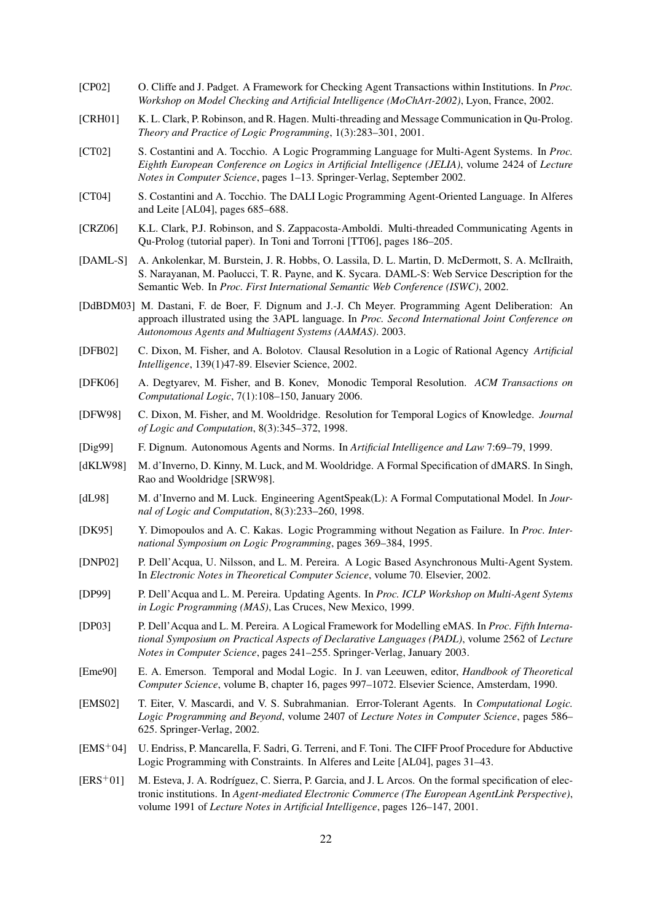- [CP02] O. Cliffe and J. Padget. A Framework for Checking Agent Transactions within Institutions. In *Proc. Workshop on Model Checking and Artificial Intelligence (MoChArt-2002)*, Lyon, France, 2002.
- [CRH01] K. L. Clark, P. Robinson, and R. Hagen. Multi-threading and Message Communication in Qu-Prolog. *Theory and Practice of Logic Programming*, 1(3):283–301, 2001.
- [CT02] S. Costantini and A. Tocchio. A Logic Programming Language for Multi-Agent Systems. In *Proc. Eighth European Conference on Logics in Artificial Intelligence (JELIA)*, volume 2424 of *Lecture Notes in Computer Science*, pages 1–13. Springer-Verlag, September 2002.
- [CT04] S. Costantini and A. Tocchio. The DALI Logic Programming Agent-Oriented Language. In Alferes and Leite [AL04], pages 685–688.
- [CRZ06] K.L. Clark, P.J. Robinson, and S. Zappacosta-Amboldi. Multi-threaded Communicating Agents in Qu-Prolog (tutorial paper). In Toni and Torroni [TT06], pages 186–205.
- [DAML-S] A. Ankolenkar, M. Burstein, J. R. Hobbs, O. Lassila, D. L. Martin, D. McDermott, S. A. McIlraith, S. Narayanan, M. Paolucci, T. R. Payne, and K. Sycara. DAML-S: Web Service Description for the Semantic Web. In *Proc. First International Semantic Web Conference (ISWC)*, 2002.
- [DdBDM03] M. Dastani, F. de Boer, F. Dignum and J.-J. Ch Meyer. Programming Agent Deliberation: An approach illustrated using the 3APL language. In *Proc. Second International Joint Conference on Autonomous Agents and Multiagent Systems (AAMAS)*. 2003.
- [DFB02] C. Dixon, M. Fisher, and A. Bolotov. Clausal Resolution in a Logic of Rational Agency *Artificial Intelligence*, 139(1)47-89. Elsevier Science, 2002.
- [DFK06] A. Degtyarev, M. Fisher, and B. Konev, Monodic Temporal Resolution. *ACM Transactions on Computational Logic*, 7(1):108–150, January 2006.
- [DFW98] C. Dixon, M. Fisher, and M. Wooldridge. Resolution for Temporal Logics of Knowledge. *Journal of Logic and Computation*, 8(3):345–372, 1998.
- [Dig99] F. Dignum. Autonomous Agents and Norms. In *Artificial Intelligence and Law* 7:69–79, 1999.
- [dKLW98] M. d'Inverno, D. Kinny, M. Luck, and M. Wooldridge. A Formal Specification of dMARS. In Singh, Rao and Wooldridge [SRW98].
- [dL98] M. d'Inverno and M. Luck. Engineering AgentSpeak(L): A Formal Computational Model. In *Journal of Logic and Computation*, 8(3):233–260, 1998.
- [DK95] Y. Dimopoulos and A. C. Kakas. Logic Programming without Negation as Failure. In *Proc. International Symposium on Logic Programming*, pages 369–384, 1995.
- [DNP02] P. Dell'Acqua, U. Nilsson, and L. M. Pereira. A Logic Based Asynchronous Multi-Agent System. In *Electronic Notes in Theoretical Computer Science*, volume 70. Elsevier, 2002.
- [DP99] P. Dell'Acqua and L. M. Pereira. Updating Agents. In *Proc. ICLP Workshop on Multi-Agent Sytems in Logic Programming (MAS)*, Las Cruces, New Mexico, 1999.
- [DP03] P. Dell'Acqua and L. M. Pereira. A Logical Framework for Modelling eMAS. In *Proc. Fifth International Symposium on Practical Aspects of Declarative Languages (PADL)*, volume 2562 of *Lecture Notes in Computer Science*, pages 241–255. Springer-Verlag, January 2003.
- [Eme90] E. A. Emerson. Temporal and Modal Logic. In J. van Leeuwen, editor, *Handbook of Theoretical Computer Science*, volume B, chapter 16, pages 997–1072. Elsevier Science, Amsterdam, 1990.
- [EMS02] T. Eiter, V. Mascardi, and V. S. Subrahmanian. Error-Tolerant Agents. In *Computational Logic. Logic Programming and Beyond*, volume 2407 of *Lecture Notes in Computer Science*, pages 586– 625. Springer-Verlag, 2002.
- [EMS<sup>+</sup>04] U. Endriss, P. Mancarella, F. Sadri, G. Terreni, and F. Toni. The CIFF Proof Procedure for Abductive Logic Programming with Constraints. In Alferes and Leite [AL04], pages 31–43.
- $[ERS+01]$  M. Esteva, J. A. Rodríguez, C. Sierra, P. Garcia, and J. L. Arcos. On the formal specification of electronic institutions. In *Agent-mediated Electronic Commerce (The European AgentLink Perspective)*, volume 1991 of *Lecture Notes in Artificial Intelligence*, pages 126–147, 2001.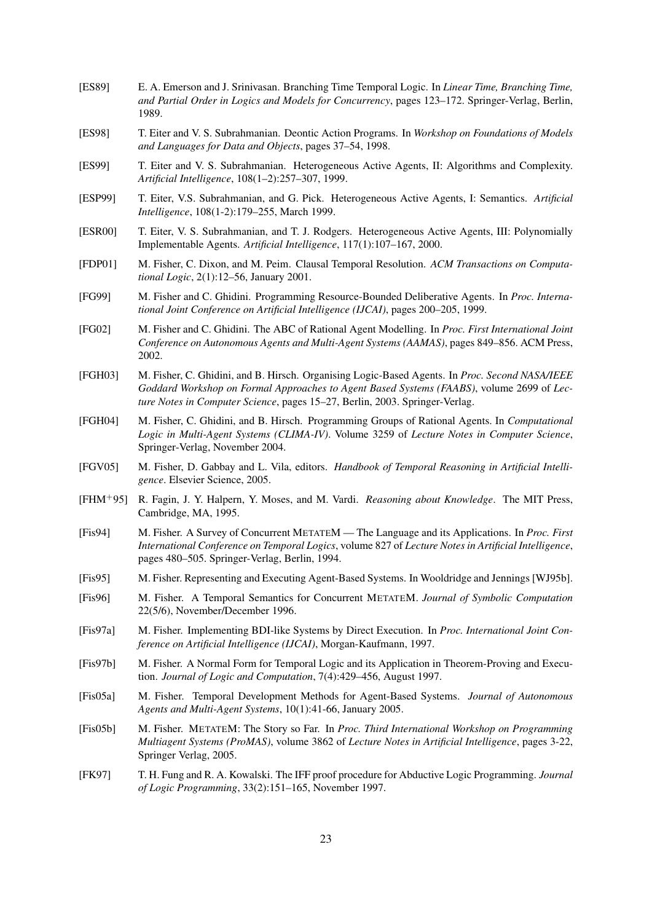- [ES89] E. A. Emerson and J. Srinivasan. Branching Time Temporal Logic. In *Linear Time, Branching Time, and Partial Order in Logics and Models for Concurrency*, pages 123–172. Springer-Verlag, Berlin, 1989.
- [ES98] T. Eiter and V. S. Subrahmanian. Deontic Action Programs. In *Workshop on Foundations of Models and Languages for Data and Objects*, pages 37–54, 1998.
- [ES99] T. Eiter and V. S. Subrahmanian. Heterogeneous Active Agents, II: Algorithms and Complexity. *Artificial Intelligence*, 108(1–2):257–307, 1999.
- [ESP99] T. Eiter, V.S. Subrahmanian, and G. Pick. Heterogeneous Active Agents, I: Semantics. *Artificial Intelligence*, 108(1-2):179–255, March 1999.
- [ESR00] T. Eiter, V. S. Subrahmanian, and T. J. Rodgers. Heterogeneous Active Agents, III: Polynomially Implementable Agents. *Artificial Intelligence*, 117(1):107–167, 2000.
- [FDP01] M. Fisher, C. Dixon, and M. Peim. Clausal Temporal Resolution. *ACM Transactions on Computational Logic*, 2(1):12–56, January 2001.
- [FG99] M. Fisher and C. Ghidini. Programming Resource-Bounded Deliberative Agents. In *Proc. International Joint Conference on Artificial Intelligence (IJCAI)*, pages 200–205, 1999.
- [FG02] M. Fisher and C. Ghidini. The ABC of Rational Agent Modelling. In *Proc. First International Joint Conference on Autonomous Agents and Multi-Agent Systems (AAMAS)*, pages 849–856. ACM Press, 2002.
- [FGH03] M. Fisher, C. Ghidini, and B. Hirsch. Organising Logic-Based Agents. In *Proc. Second NASA/IEEE Goddard Workshop on Formal Approaches to Agent Based Systems (FAABS)*, volume 2699 of *Lecture Notes in Computer Science*, pages 15–27, Berlin, 2003. Springer-Verlag.
- [FGH04] M. Fisher, C. Ghidini, and B. Hirsch. Programming Groups of Rational Agents. In *Computational Logic in Multi-Agent Systems (CLIMA-IV)*. Volume 3259 of *Lecture Notes in Computer Science*, Springer-Verlag, November 2004.
- [FGV05] M. Fisher, D. Gabbay and L. Vila, editors. *Handbook of Temporal Reasoning in Artificial Intelligence*. Elsevier Science, 2005.
- [FHM<sup>+</sup>95] R. Fagin, J. Y. Halpern, Y. Moses, and M. Vardi. *Reasoning about Knowledge*. The MIT Press, Cambridge, MA, 1995.
- [Fis94] M. Fisher. A Survey of Concurrent METATEM The Language and its Applications. In *Proc. First International Conference on Temporal Logics*, volume 827 of *Lecture Notes in Artificial Intelligence*, pages 480–505. Springer-Verlag, Berlin, 1994.
- [Fis95] M. Fisher. Representing and Executing Agent-Based Systems. In Wooldridge and Jennings [WJ95b].
- [Fis96] M. Fisher. A Temporal Semantics for Concurrent METATEM. *Journal of Symbolic Computation* 22(5/6), November/December 1996.
- [Fis97a] M. Fisher. Implementing BDI-like Systems by Direct Execution. In *Proc. International Joint Conference on Artificial Intelligence (IJCAI)*, Morgan-Kaufmann, 1997.
- [Fis97b] M. Fisher. A Normal Form for Temporal Logic and its Application in Theorem-Proving and Execution. *Journal of Logic and Computation*, 7(4):429–456, August 1997.
- [Fis05a] M. Fisher. Temporal Development Methods for Agent-Based Systems. *Journal of Autonomous Agents and Multi-Agent Systems*, 10(1):41-66, January 2005.
- [Fis05b] M. Fisher. METATEM: The Story so Far. In *Proc. Third International Workshop on Programming Multiagent Systems (ProMAS)*, volume 3862 of *Lecture Notes in Artificial Intelligence*, pages 3-22, Springer Verlag, 2005.
- [FK97] T. H. Fung and R. A. Kowalski. The IFF proof procedure for Abductive Logic Programming. *Journal of Logic Programming*, 33(2):151–165, November 1997.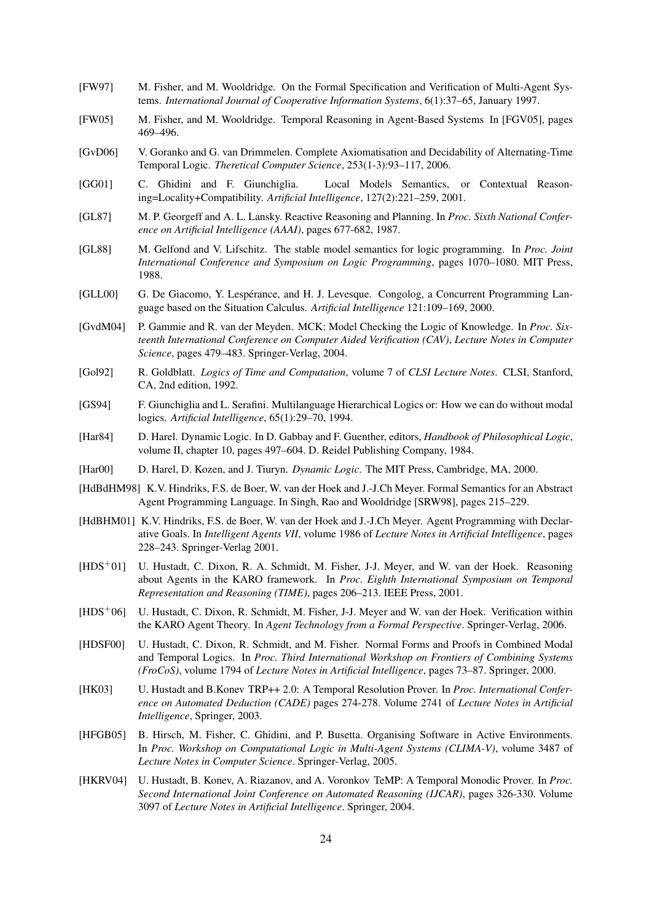- [FW97] M. Fisher, and M. Wooldridge. On the Formal Specification and Verification of Multi-Agent Systems. *International Journal of Cooperative Information Systems*, 6(1):37–65, January 1997.
- [FW05] M. Fisher, and M. Wooldridge. Temporal Reasoning in Agent-Based Systems In [FGV05], pages 469–496.
- [GvD06] V. Goranko and G. van Drimmelen. Complete Axiomatisation and Decidability of Alternating-Time Temporal Logic. *Theretical Computer Science*, 253(1-3):93–117, 2006.
- [GG01] C. Ghidini and F. Giunchiglia. Local Models Semantics, or Contextual Reasoning=Locality+Compatibility. *Artificial Intelligence*, 127(2):221–259, 2001.
- [GL87] M. P. Georgeff and A. L. Lansky. Reactive Reasoning and Planning. In *Proc. Sixth National Conference on Artificial Intelligence (AAAI)*, pages 677-682, 1987.
- [GL88] M. Gelfond and V. Lifschitz. The stable model semantics for logic programming. In *Proc. Joint International Conference and Symposium on Logic Programming*, pages 1070–1080. MIT Press, 1988.
- [GLL00] G. De Giacomo, Y. Lespérance, and H. J. Levesque. Congolog, a Concurrent Programming Language based on the Situation Calculus. *Artificial Intelligence* 121:109–169, 2000.
- [GvdM04] P. Gammie and R. van der Meyden. MCK: Model Checking the Logic of Knowledge. In *Proc. Sixteenth International Conference on Computer Aided Verification (CAV)*, *Lecture Notes in Computer Science*, pages 479–483. Springer-Verlag, 2004.
- [Gol92] R. Goldblatt. *Logics of Time and Computation*, volume 7 of *CLSI Lecture Notes*. CLSI, Stanford, CA, 2nd edition, 1992.
- [GS94] F. Giunchiglia and L. Serafini. Multilanguage Hierarchical Logics or: How we can do without modal logics. *Artificial Intelligence*, 65(1):29–70, 1994.
- [Har84] D. Harel. Dynamic Logic. In D. Gabbay and F. Guenther, editors, *Handbook of Philosophical Logic*, volume II, chapter 10, pages 497–604. D. Reidel Publishing Company, 1984.
- [Har00] D. Harel, D. Kozen, and J. Tiuryn. *Dynamic Logic*. The MIT Press, Cambridge, MA, 2000.
- [HdBdHM98] K.V. Hindriks, F.S. de Boer, W. van der Hoek and J.-J.Ch Meyer. Formal Semantics for an Abstract Agent Programming Language. In Singh, Rao and Wooldridge [SRW98], pages 215–229.
- [HdBHM01] K.V. Hindriks, F.S. de Boer, W. van der Hoek and J.-J.Ch Meyer. Agent Programming with Declarative Goals. In *Intelligent Agents VII*, volume 1986 of *Lecture Notes in Artificial Intelligence*, pages 228–243. Springer-Verlag 2001.
- [HDS<sup>+</sup>01] U. Hustadt, C. Dixon, R. A. Schmidt, M. Fisher, J-J. Meyer, and W. van der Hoek. Reasoning about Agents in the KARO framework. In *Proc. Eighth International Symposium on Temporal Representation and Reasoning (TIME)*, pages 206–213. IEEE Press, 2001.
- [HDS<sup>+</sup>06] U. Hustadt, C. Dixon, R. Schmidt, M. Fisher, J-J. Meyer and W. van der Hoek. Verification within the KARO Agent Theory. In *Agent Technology from a Formal Perspective*. Springer-Verlag, 2006.
- [HDSF00] U. Hustadt, C. Dixon, R. Schmidt, and M. Fisher. Normal Forms and Proofs in Combined Modal and Temporal Logics. In *Proc. Third International Workshop on Frontiers of Combining Systems (FroCoS)*, volume 1794 of *Lecture Notes in Artificial Intelligence*, pages 73–87. Springer, 2000.
- [HK03] U. Hustadt and B.Konev TRP++ 2.0: A Temporal Resolution Prover. In *Proc. International Conference on Automated Deduction (CADE)* pages 274-278. Volume 2741 of *Lecture Notes in Artificial Intelligence*, Springer, 2003.
- [HFGB05] B. Hirsch, M. Fisher, C. Ghidini, and P. Busetta. Organising Software in Active Environments. In *Proc. Workshop on Computational Logic in Multi-Agent Systems (CLIMA-V)*, volume 3487 of *Lecture Notes in Computer Science*. Springer-Verlag, 2005.
- [HKRV04] U. Hustadt, B. Konev, A. Riazanov, and A. Voronkov TeMP: A Temporal Monodic Prover. In *Proc. Second International Joint Conference on Automated Reasoning (IJCAR)*, pages 326-330. Volume 3097 of *Lecture Notes in Artificial Intelligence*. Springer, 2004.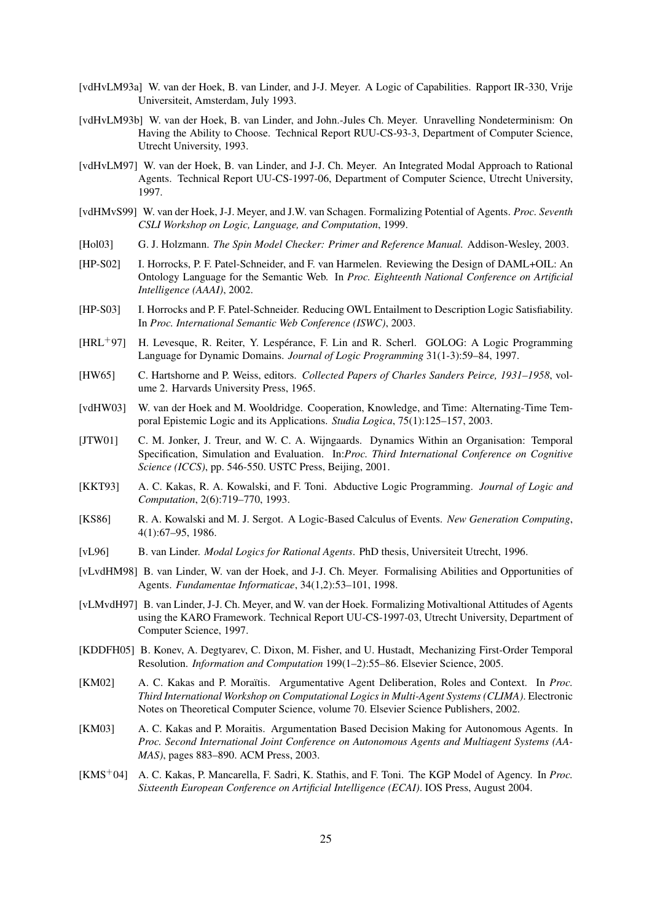- [vdHvLM93a] W. van der Hoek, B. van Linder, and J-J. Meyer. A Logic of Capabilities. Rapport IR-330, Vrije Universiteit, Amsterdam, July 1993.
- [vdHvLM93b] W. van der Hoek, B. van Linder, and John.-Jules Ch. Meyer. Unravelling Nondeterminism: On Having the Ability to Choose. Technical Report RUU-CS-93-3, Department of Computer Science, Utrecht University, 1993.
- [vdHvLM97] W. van der Hoek, B. van Linder, and J-J. Ch. Meyer. An Integrated Modal Approach to Rational Agents. Technical Report UU-CS-1997-06, Department of Computer Science, Utrecht University, 1997.
- [vdHMvS99] W. van der Hoek, J-J. Meyer, and J.W. van Schagen. Formalizing Potential of Agents. *Proc. Seventh CSLI Workshop on Logic, Language, and Computation*, 1999.
- [Hol03] G. J. Holzmann. *The Spin Model Checker: Primer and Reference Manual.* Addison-Wesley, 2003.
- [HP-S02] I. Horrocks, P. F. Patel-Schneider, and F. van Harmelen. Reviewing the Design of DAML+OIL: An Ontology Language for the Semantic Web. In *Proc. Eighteenth National Conference on Artificial Intelligence (AAAI)*, 2002.
- [HP-S03] I. Horrocks and P. F. Patel-Schneider. Reducing OWL Entailment to Description Logic Satisfiability. In *Proc. International Semantic Web Conference (ISWC)*, 2003.
- [HRL<sup>+97</sup>] H. Levesque, R. Reiter, Y. Lespérance, F. Lin and R. Scherl. GOLOG: A Logic Programming Language for Dynamic Domains. *Journal of Logic Programming* 31(1-3):59–84, 1997.
- [HW65] C. Hartshorne and P. Weiss, editors. *Collected Papers of Charles Sanders Peirce, 1931–1958*, volume 2. Harvards University Press, 1965.
- [vdHW03] W. van der Hoek and M. Wooldridge. Cooperation, Knowledge, and Time: Alternating-Time Temporal Epistemic Logic and its Applications. *Studia Logica*, 75(1):125–157, 2003.
- [JTW01] C. M. Jonker, J. Treur, and W. C. A. Wijngaards. Dynamics Within an Organisation: Temporal Specification, Simulation and Evaluation. In:*Proc. Third International Conference on Cognitive Science (ICCS)*, pp. 546-550. USTC Press, Beijing, 2001.
- [KKT93] A. C. Kakas, R. A. Kowalski, and F. Toni. Abductive Logic Programming. *Journal of Logic and Computation*, 2(6):719–770, 1993.
- [KS86] R. A. Kowalski and M. J. Sergot. A Logic-Based Calculus of Events. *New Generation Computing*, 4(1):67–95, 1986.
- [vL96] B. van Linder. *Modal Logics for Rational Agents*. PhD thesis, Universiteit Utrecht, 1996.
- [vLvdHM98] B. van Linder, W. van der Hoek, and J-J. Ch. Meyer. Formalising Abilities and Opportunities of Agents. *Fundamentae Informaticae*, 34(1,2):53–101, 1998.
- [vLMvdH97] B. van Linder, J-J. Ch. Meyer, and W. van der Hoek. Formalizing Motivaltional Attitudes of Agents using the KARO Framework. Technical Report UU-CS-1997-03, Utrecht University, Department of Computer Science, 1997.
- [KDDFH05] B. Konev, A. Degtyarev, C. Dixon, M. Fisher, and U. Hustadt, Mechanizing First-Order Temporal Resolution. *Information and Computation* 199(1–2):55–86. Elsevier Science, 2005.
- [KM02] A. C. Kakas and P. Mora¨ıtis. Argumentative Agent Deliberation, Roles and Context. In *Proc. Third International Workshop on Computational Logics in Multi-Agent Systems (CLIMA)*. Electronic Notes on Theoretical Computer Science, volume 70. Elsevier Science Publishers, 2002.
- [KM03] A. C. Kakas and P. Moraitis. Argumentation Based Decision Making for Autonomous Agents. In *Proc. Second International Joint Conference on Autonomous Agents and Multiagent Systems (AA-MAS)*, pages 883–890. ACM Press, 2003.
- [KMS<sup>+</sup>04] A. C. Kakas, P. Mancarella, F. Sadri, K. Stathis, and F. Toni. The KGP Model of Agency. In *Proc. Sixteenth European Conference on Artificial Intelligence (ECAI)*. IOS Press, August 2004.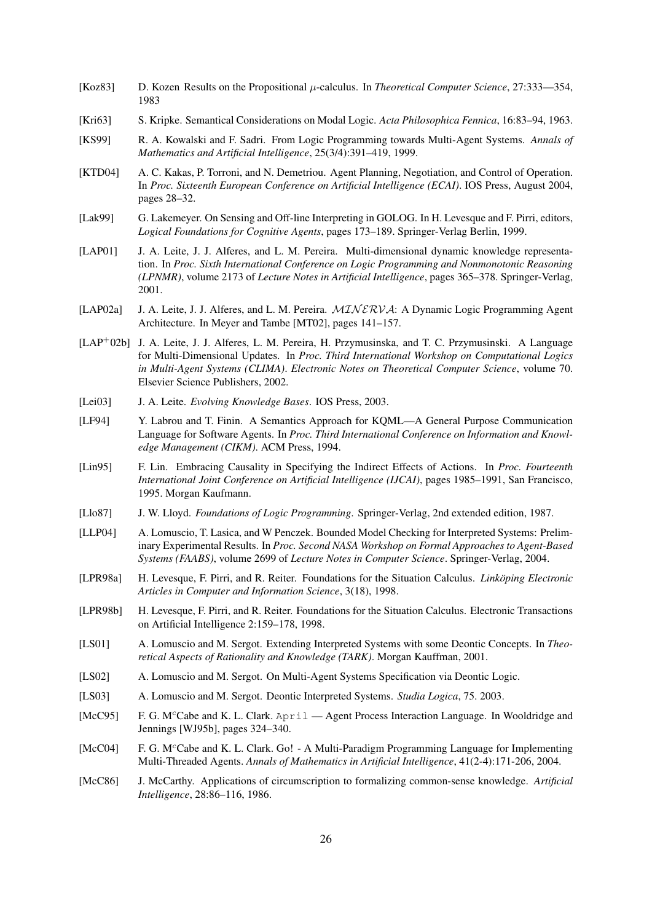- [Koz83] D. Kozen Results on the Propositional µ-calculus. In *Theoretical Computer Science*, 27:333—354, 1983
- [Kri63] S. Kripke. Semantical Considerations on Modal Logic. *Acta Philosophica Fennica*, 16:83–94, 1963.
- [KS99] R. A. Kowalski and F. Sadri. From Logic Programming towards Multi-Agent Systems. *Annals of Mathematics and Artificial Intelligence*, 25(3/4):391–419, 1999.
- [KTD04] A. C. Kakas, P. Torroni, and N. Demetriou. Agent Planning, Negotiation, and Control of Operation. In *Proc. Sixteenth European Conference on Artificial Intelligence (ECAI)*. IOS Press, August 2004, pages 28–32.
- [Lak99] G. Lakemeyer. On Sensing and Off-line Interpreting in GOLOG. In H. Levesque and F. Pirri, editors, *Logical Foundations for Cognitive Agents*, pages 173–189. Springer-Verlag Berlin, 1999.
- [LAP01] J. A. Leite, J. J. Alferes, and L. M. Pereira. Multi-dimensional dynamic knowledge representation. In *Proc. Sixth International Conference on Logic Programming and Nonmonotonic Reasoning (LPNMR)*, volume 2173 of *Lecture Notes in Artificial Intelligence*, pages 365–378. Springer-Verlag, 2001.
- [LAP02a] J. A. Leite, J. J. Alferes, and L. M. Pereira.  $MINERVA$ : A Dynamic Logic Programming Agent Architecture. In Meyer and Tambe [MT02], pages 141–157.
- [LAP+02b] J. A. Leite, J. J. Alferes, L. M. Pereira, H. Przymusinska, and T. C. Przymusinski. A Language for Multi-Dimensional Updates. In *Proc. Third International Workshop on Computational Logics in Multi-Agent Systems (CLIMA)*. *Electronic Notes on Theoretical Computer Science*, volume 70. Elsevier Science Publishers, 2002.
- [Lei03] J. A. Leite. *Evolving Knowledge Bases*. IOS Press, 2003.
- [LF94] Y. Labrou and T. Finin. A Semantics Approach for KQML—A General Purpose Communication Language for Software Agents. In *Proc. Third International Conference on Information and Knowledge Management (CIKM)*. ACM Press, 1994.
- [Lin95] F. Lin. Embracing Causality in Specifying the Indirect Effects of Actions. In *Proc. Fourteenth International Joint Conference on Artificial Intelligence (IJCAI)*, pages 1985–1991, San Francisco, 1995. Morgan Kaufmann.
- [Llo87] J. W. Lloyd. *Foundations of Logic Programming*. Springer-Verlag, 2nd extended edition, 1987.
- [LLP04] A. Lomuscio, T. Lasica, and W Penczek. Bounded Model Checking for Interpreted Systems: Preliminary Experimental Results. In *Proc. Second NASA Workshop on Formal Approaches to Agent-Based Systems (FAABS)*, volume 2699 of *Lecture Notes in Computer Science*. Springer-Verlag, 2004.
- [LPR98a] H. Levesque, F. Pirri, and R. Reiter. Foundations for the Situation Calculus. *Linkoping Electronic ¨ Articles in Computer and Information Science*, 3(18), 1998.
- [LPR98b] H. Levesque, F. Pirri, and R. Reiter. Foundations for the Situation Calculus. Electronic Transactions on Artificial Intelligence 2:159–178, 1998.
- [LS01] A. Lomuscio and M. Sergot. Extending Interpreted Systems with some Deontic Concepts. In *Theoretical Aspects of Rationality and Knowledge (TARK)*. Morgan Kauffman, 2001.
- [LS02] A. Lomuscio and M. Sergot. On Multi-Agent Systems Specification via Deontic Logic.
- [LS03] A. Lomuscio and M. Sergot. Deontic Interpreted Systems. *Studia Logica*, 75. 2003.
- [McC95] F. G. M<sup>c</sup>Cabe and K. L. Clark. April Agent Process Interaction Language. In Wooldridge and Jennings [WJ95b], pages 324–340.
- [McC04] F. G. M<sup>c</sup>Cabe and K. L. Clark. Go! A Multi-Paradigm Programming Language for Implementing Multi-Threaded Agents. *Annals of Mathematics in Artificial Intelligence*, 41(2-4):171-206, 2004.
- [McC86] J. McCarthy. Applications of circumscription to formalizing common-sense knowledge. *Artificial Intelligence*, 28:86–116, 1986.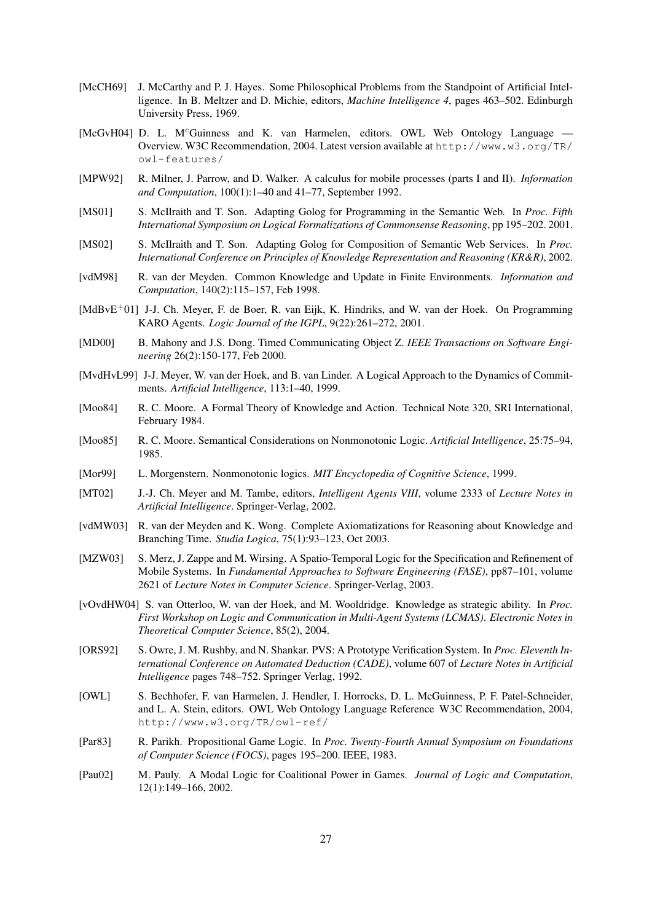- [McCH69] J. McCarthy and P. J. Hayes. Some Philosophical Problems from the Standpoint of Artificial Intelligence. In B. Meltzer and D. Michie, editors, *Machine Intelligence 4*, pages 463–502. Edinburgh University Press, 1969.
- [McGvH04] D. L. M<sup>c</sup>Guinness and K. van Harmelen, editors. OWL Web Ontology Language Overview. W3C Recommendation, 2004. Latest version available at http://www.w3.org/TR/ owl-features/
- [MPW92] R. Milner, J. Parrow, and D. Walker. A calculus for mobile processes (parts I and II). *Information and Computation*, 100(1):1–40 and 41–77, September 1992.
- [MS01] S. McIlraith and T. Son. Adapting Golog for Programming in the Semantic Web. In *Proc. Fifth International Symposium on Logical Formalizations of Commonsense Reasoning*, pp 195–202. 2001.
- [MS02] S. McIlraith and T. Son. Adapting Golog for Composition of Semantic Web Services. In *Proc. International Conference on Principles of Knowledge Representation and Reasoning (KR&R)*, 2002.
- [vdM98] R. van der Meyden. Common Knowledge and Update in Finite Environments. *Information and Computation*, 140(2):115–157, Feb 1998.
- [MdBvE+01] J-J. Ch. Meyer, F. de Boer, R. van Eijk, K. Hindriks, and W. van der Hoek. On Programming KARO Agents. *Logic Journal of the IGPL*, 9(22):261–272, 2001.
- [MD00] B. Mahony and J.S. Dong. Timed Communicating Object Z. *IEEE Transactions on Software Engineering* 26(2):150-177, Feb 2000.
- [MvdHvL99] J-J. Meyer, W. van der Hoek, and B. van Linder. A Logical Approach to the Dynamics of Commitments. *Artificial Intelligence*, 113:1–40, 1999.
- [Moo84] R. C. Moore. A Formal Theory of Knowledge and Action. Technical Note 320, SRI International, February 1984.
- [Moo85] R. C. Moore. Semantical Considerations on Nonmonotonic Logic. *Artificial Intelligence*, 25:75–94, 1985.
- [Mor99] L. Morgenstern. Nonmonotonic logics. *MIT Encyclopedia of Cognitive Science*, 1999.
- [MT02] J.-J. Ch. Meyer and M. Tambe, editors, *Intelligent Agents VIII*, volume 2333 of *Lecture Notes in Artificial Intelligence*. Springer-Verlag, 2002.
- [vdMW03] R. van der Meyden and K. Wong. Complete Axiomatizations for Reasoning about Knowledge and Branching Time. *Studia Logica*, 75(1):93–123, Oct 2003.
- [MZW03] S. Merz, J. Zappe and M. Wirsing. A Spatio-Temporal Logic for the Specification and Refinement of Mobile Systems. In *Fundamental Approaches to Software Engineering (FASE)*, pp87–101, volume 2621 of *Lecture Notes in Computer Science*. Springer-Verlag, 2003.
- [vOvdHW04] S. van Otterloo, W. van der Hoek, and M. Wooldridge. Knowledge as strategic ability. In *Proc. First Workshop on Logic and Communication in Multi-Agent Systems (LCMAS)*. *Electronic Notes in Theoretical Computer Science*, 85(2), 2004.
- [ORS92] S. Owre, J. M. Rushby, and N. Shankar. PVS: A Prototype Verification System. In *Proc. Eleventh International Conference on Automated Deduction (CADE)*, volume 607 of *Lecture Notes in Artificial Intelligence* pages 748–752. Springer Verlag, 1992.
- [OWL] S. Bechhofer, F. van Harmelen, J. Hendler, I. Horrocks, D. L. McGuinness, P. F. Patel-Schneider, and L. A. Stein, editors. OWL Web Ontology Language Reference W3C Recommendation, 2004, http://www.w3.org/TR/owl-ref/
- [Par83] R. Parikh. Propositional Game Logic. In *Proc. Twenty-Fourth Annual Symposium on Foundations of Computer Science (FOCS)*, pages 195–200. IEEE, 1983.
- [Pau02] M. Pauly. A Modal Logic for Coalitional Power in Games. *Journal of Logic and Computation*, 12(1):149–166, 2002.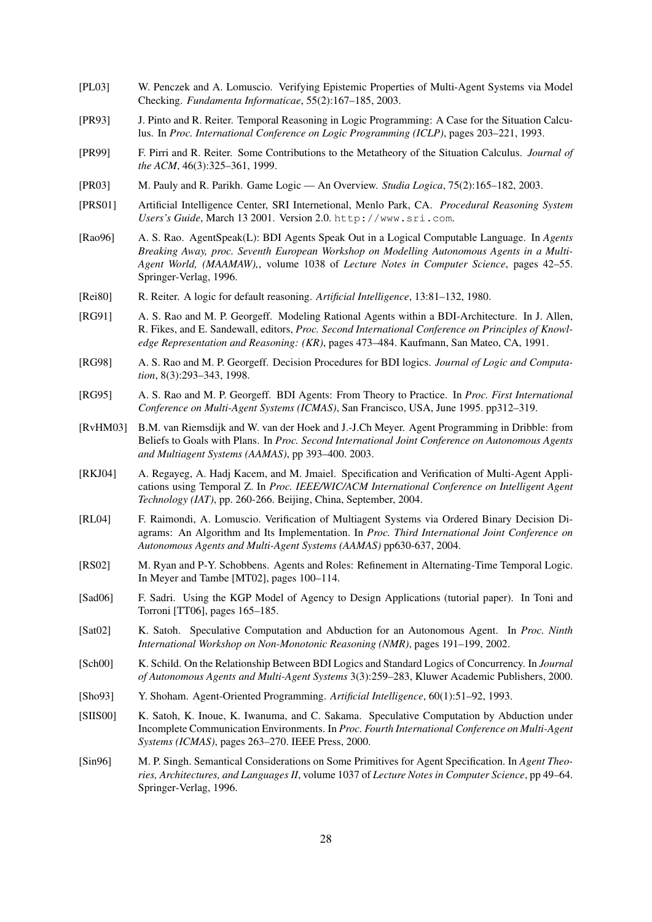- [PL03] W. Penczek and A. Lomuscio. Verifying Epistemic Properties of Multi-Agent Systems via Model Checking. *Fundamenta Informaticae*, 55(2):167–185, 2003.
- [PR93] J. Pinto and R. Reiter. Temporal Reasoning in Logic Programming: A Case for the Situation Calculus. In *Proc. International Conference on Logic Programming (ICLP)*, pages 203–221, 1993.
- [PR99] F. Pirri and R. Reiter. Some Contributions to the Metatheory of the Situation Calculus. *Journal of the ACM*, 46(3):325–361, 1999.
- [PR03] M. Pauly and R. Parikh. Game Logic An Overview. *Studia Logica*, 75(2):165–182, 2003.
- [PRS01] Artificial Intelligence Center, SRI Internetional, Menlo Park, CA. *Procedural Reasoning System Users's Guide*, March 13 2001. Version 2.0. http://www.sri.com.
- [Rao96] A. S. Rao. AgentSpeak(L): BDI Agents Speak Out in a Logical Computable Language. In *Agents Breaking Away, proc. Seventh European Workshop on Modelling Autonomous Agents in a Multi-Agent World, (MAAMAW),*, volume 1038 of *Lecture Notes in Computer Science*, pages 42–55. Springer-Verlag, 1996.
- [Rei80] R. Reiter. A logic for default reasoning. *Artificial Intelligence*, 13:81–132, 1980.
- [RG91] A. S. Rao and M. P. Georgeff. Modeling Rational Agents within a BDI-Architecture. In J. Allen, R. Fikes, and E. Sandewall, editors, *Proc. Second International Conference on Principles of Knowledge Representation and Reasoning: (KR)*, pages 473–484. Kaufmann, San Mateo, CA, 1991.
- [RG98] A. S. Rao and M. P. Georgeff. Decision Procedures for BDI logics. *Journal of Logic and Computation*, 8(3):293–343, 1998.
- [RG95] A. S. Rao and M. P. Georgeff. BDI Agents: From Theory to Practice. In *Proc. First International Conference on Multi-Agent Systems (ICMAS)*, San Francisco, USA, June 1995. pp312–319.
- [RvHM03] B.M. van Riemsdijk and W. van der Hoek and J.-J.Ch Meyer. Agent Programming in Dribble: from Beliefs to Goals with Plans. In *Proc. Second International Joint Conference on Autonomous Agents and Multiagent Systems (AAMAS)*, pp 393–400. 2003.
- [RKJ04] A. Regayeg, A. Hadj Kacem, and M. Jmaiel. Specification and Verification of Multi-Agent Applications using Temporal Z. In *Proc. IEEE/WIC/ACM International Conference on Intelligent Agent Technology (IAT)*, pp. 260-266. Beijing, China, September, 2004.
- [RL04] F. Raimondi, A. Lomuscio. Verification of Multiagent Systems via Ordered Binary Decision Diagrams: An Algorithm and Its Implementation. In *Proc. Third International Joint Conference on Autonomous Agents and Multi-Agent Systems (AAMAS)* pp630-637, 2004.
- [RS02] M. Ryan and P-Y. Schobbens. Agents and Roles: Refinement in Alternating-Time Temporal Logic. In Meyer and Tambe [MT02], pages 100–114.
- [Sad06] F. Sadri. Using the KGP Model of Agency to Design Applications (tutorial paper). In Toni and Torroni [TT06], pages 165–185.
- [Sat02] K. Satoh. Speculative Computation and Abduction for an Autonomous Agent. In *Proc. Ninth International Workshop on Non-Monotonic Reasoning (NMR)*, pages 191–199, 2002.
- [Sch00] K. Schild. On the Relationship Between BDI Logics and Standard Logics of Concurrency. In *Journal of Autonomous Agents and Multi-Agent Systems* 3(3):259–283, Kluwer Academic Publishers, 2000.
- [Sho<sup>93]</sup> Y. Shoham. Agent-Oriented Programming. *Artificial Intelligence*, 60(1):51–92, 1993.
- [SIIS00] K. Satoh, K. Inoue, K. Iwanuma, and C. Sakama. Speculative Computation by Abduction under Incomplete Communication Environments. In *Proc. Fourth International Conference on Multi-Agent Systems (ICMAS)*, pages 263–270. IEEE Press, 2000.
- [Sin96] M. P. Singh. Semantical Considerations on Some Primitives for Agent Specification. In *Agent Theories, Architectures, and Languages II*, volume 1037 of *Lecture Notes in Computer Science*, pp 49–64. Springer-Verlag, 1996.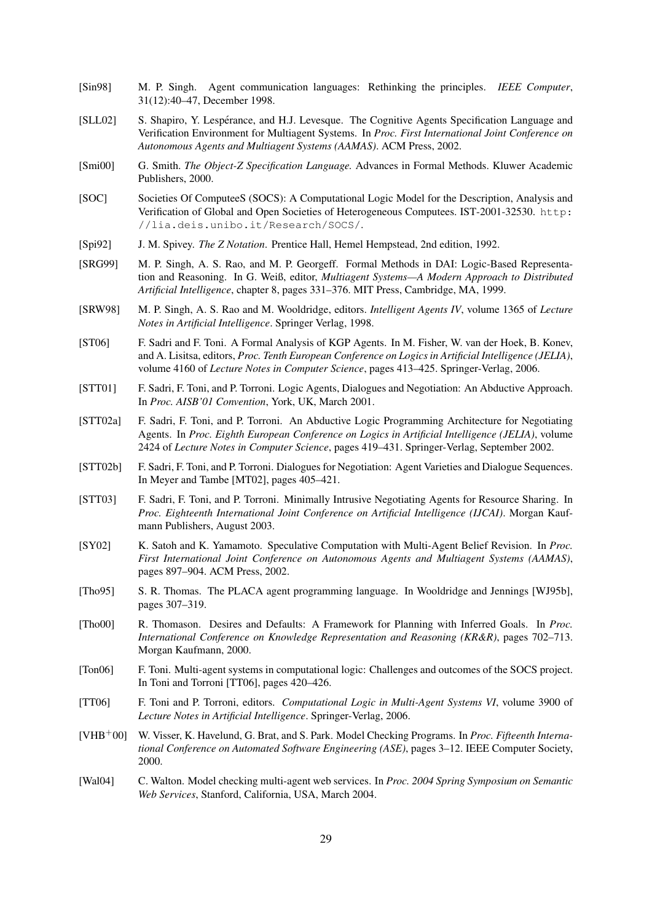- [Sin98] M. P. Singh. Agent communication languages: Rethinking the principles. *IEEE Computer*, 31(12):40–47, December 1998.
- [SLL02] S. Shapiro, Y. Lesperance, and H.J. Levesque. The Cognitive Agents Specification Language and ´ Verification Environment for Multiagent Systems. In *Proc. First International Joint Conference on Autonomous Agents and Multiagent Systems (AAMAS)*. ACM Press, 2002.
- [Smi00] G. Smith. *The Object-Z Specification Language.* Advances in Formal Methods. Kluwer Academic Publishers, 2000.
- [SOC] Societies Of ComputeeS (SOCS): A Computational Logic Model for the Description, Analysis and Verification of Global and Open Societies of Heterogeneous Computees. IST-2001-32530. http: //lia.deis.unibo.it/Research/SOCS/.
- [Spi92] J. M. Spivey. *The Z Notation*. Prentice Hall, Hemel Hempstead, 2nd edition, 1992.
- [SRG99] M. P. Singh, A. S. Rao, and M. P. Georgeff. Formal Methods in DAI: Logic-Based Representation and Reasoning. In G. Weiß, editor, *Multiagent Systems—A Modern Approach to Distributed Artificial Intelligence*, chapter 8, pages 331–376. MIT Press, Cambridge, MA, 1999.
- [SRW98] M. P. Singh, A. S. Rao and M. Wooldridge, editors. *Intelligent Agents IV*, volume 1365 of *Lecture Notes in Artificial Intelligence*. Springer Verlag, 1998.
- [ST06] F. Sadri and F. Toni. A Formal Analysis of KGP Agents. In M. Fisher, W. van der Hoek, B. Konev, and A. Lisitsa, editors, *Proc. Tenth European Conference on Logics in Artificial Intelligence (JELIA)*, volume 4160 of *Lecture Notes in Computer Science*, pages 413–425. Springer-Verlag, 2006.
- [STT01] F. Sadri, F. Toni, and P. Torroni. Logic Agents, Dialogues and Negotiation: An Abductive Approach. In *Proc. AISB'01 Convention*, York, UK, March 2001.
- [STT02a] F. Sadri, F. Toni, and P. Torroni. An Abductive Logic Programming Architecture for Negotiating Agents. In *Proc. Eighth European Conference on Logics in Artificial Intelligence (JELIA)*, volume 2424 of *Lecture Notes in Computer Science*, pages 419–431. Springer-Verlag, September 2002.
- [STT02b] F. Sadri, F. Toni, and P. Torroni. Dialogues for Negotiation: Agent Varieties and Dialogue Sequences. In Meyer and Tambe [MT02], pages 405–421.
- [STT03] F. Sadri, F. Toni, and P. Torroni. Minimally Intrusive Negotiating Agents for Resource Sharing. In *Proc. Eighteenth International Joint Conference on Artificial Intelligence (IJCAI)*. Morgan Kaufmann Publishers, August 2003.
- [SY02] K. Satoh and K. Yamamoto. Speculative Computation with Multi-Agent Belief Revision. In *Proc. First International Joint Conference on Autonomous Agents and Multiagent Systems (AAMAS)*, pages 897–904. ACM Press, 2002.
- [Tho95] S. R. Thomas. The PLACA agent programming language. In Wooldridge and Jennings [WJ95b], pages 307–319.
- [Tho00] R. Thomason. Desires and Defaults: A Framework for Planning with Inferred Goals. In *Proc. International Conference on Knowledge Representation and Reasoning (KR&R)*, pages 702–713. Morgan Kaufmann, 2000.
- [Ton06] F. Toni. Multi-agent systems in computational logic: Challenges and outcomes of the SOCS project. In Toni and Torroni [TT06], pages 420–426.
- [TT06] F. Toni and P. Torroni, editors. *Computational Logic in Multi-Agent Systems VI*, volume 3900 of *Lecture Notes in Artificial Intelligence*. Springer-Verlag, 2006.
- [VHB<sup>+</sup>00] W. Visser, K. Havelund, G. Brat, and S. Park. Model Checking Programs. In *Proc. Fifteenth International Conference on Automated Software Engineering (ASE)*, pages 3–12. IEEE Computer Society, 2000.
- [Wal04] C. Walton. Model checking multi-agent web services. In *Proc. 2004 Spring Symposium on Semantic Web Services*, Stanford, California, USA, March 2004.